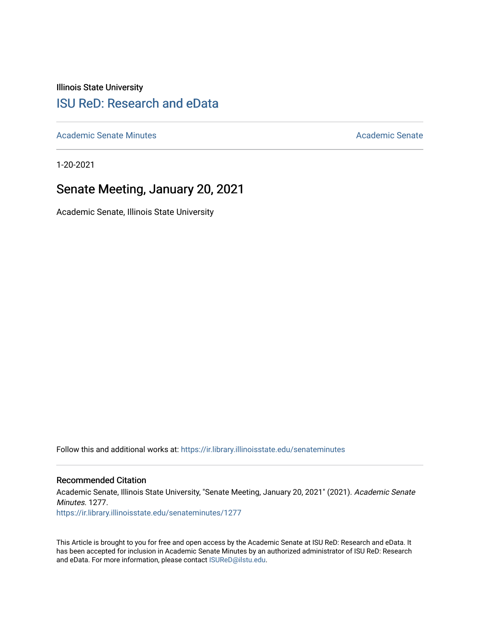Illinois State University

# [ISU ReD: Research and eData](https://ir.library.illinoisstate.edu/)

[Academic Senate Minutes](https://ir.library.illinoisstate.edu/senateminutes) [Academic Senate](https://ir.library.illinoisstate.edu/senate) Academic Senate

1-20-2021

## Senate Meeting, January 20, 2021

Academic Senate, Illinois State University

Follow this and additional works at: [https://ir.library.illinoisstate.edu/senateminutes](https://ir.library.illinoisstate.edu/senateminutes?utm_source=ir.library.illinoisstate.edu%2Fsenateminutes%2F1277&utm_medium=PDF&utm_campaign=PDFCoverPages) 

#### Recommended Citation

Academic Senate, Illinois State University, "Senate Meeting, January 20, 2021" (2021). Academic Senate Minutes. 1277.

[https://ir.library.illinoisstate.edu/senateminutes/1277](https://ir.library.illinoisstate.edu/senateminutes/1277?utm_source=ir.library.illinoisstate.edu%2Fsenateminutes%2F1277&utm_medium=PDF&utm_campaign=PDFCoverPages)

This Article is brought to you for free and open access by the Academic Senate at ISU ReD: Research and eData. It has been accepted for inclusion in Academic Senate Minutes by an authorized administrator of ISU ReD: Research and eData. For more information, please contact [ISUReD@ilstu.edu.](mailto:ISUReD@ilstu.edu)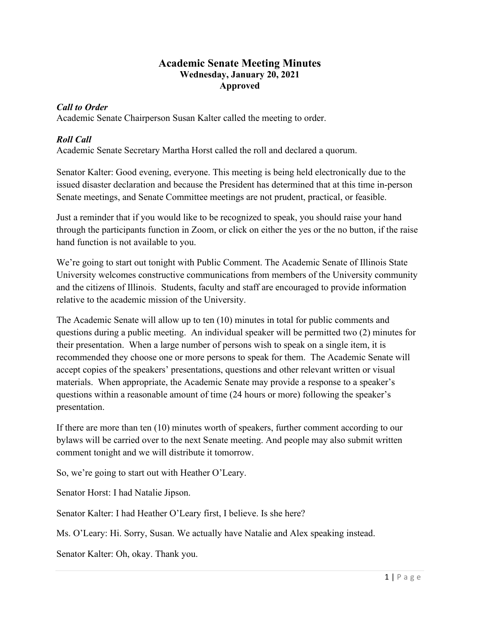## **Academic Senate Meeting Minutes Wednesday, January 20, 2021 Approved**

## *Call to Order*

Academic Senate Chairperson Susan Kalter called the meeting to order.

## *Roll Call*

Academic Senate Secretary Martha Horst called the roll and declared a quorum.

Senator Kalter: Good evening, everyone. This meeting is being held electronically due to the issued disaster declaration and because the President has determined that at this time in-person Senate meetings, and Senate Committee meetings are not prudent, practical, or feasible.

Just a reminder that if you would like to be recognized to speak, you should raise your hand through the participants function in Zoom, or click on either the yes or the no button, if the raise hand function is not available to you.

We're going to start out tonight with Public Comment. The Academic Senate of Illinois State University welcomes constructive communications from members of the University community and the citizens of Illinois. Students, faculty and staff are encouraged to provide information relative to the academic mission of the University.

The Academic Senate will allow up to ten (10) minutes in total for public comments and questions during a public meeting. An individual speaker will be permitted two (2) minutes for their presentation. When a large number of persons wish to speak on a single item, it is recommended they choose one or more persons to speak for them. The Academic Senate will accept copies of the speakers' presentations, questions and other relevant written or visual materials. When appropriate, the Academic Senate may provide a response to a speaker's questions within a reasonable amount of time (24 hours or more) following the speaker's presentation.

If there are more than ten (10) minutes worth of speakers, further comment according to our bylaws will be carried over to the next Senate meeting. And people may also submit written comment tonight and we will distribute it tomorrow.

So, we're going to start out with Heather O'Leary.

Senator Horst: I had Natalie Jipson.

Senator Kalter: I had Heather O'Leary first, I believe. Is she here?

Ms. O'Leary: Hi. Sorry, Susan. We actually have Natalie and Alex speaking instead.

Senator Kalter: Oh, okay. Thank you.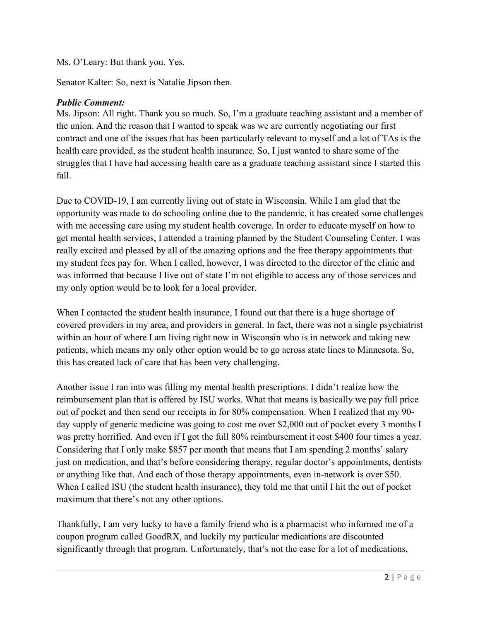Ms. O'Leary: But thank you. Yes.

Senator Kalter: So, next is Natalie Jipson then.

#### *Public Comment:*

Ms. Jipson: All right. Thank you so much. So, I'm a graduate teaching assistant and a member of the union. And the reason that I wanted to speak was we are currently negotiating our first contract and one of the issues that has been particularly relevant to myself and a lot of TAs is the health care provided, as the student health insurance. So, I just wanted to share some of the struggles that I have had accessing health care as a graduate teaching assistant since I started this fall.

Due to COVID-19, I am currently living out of state in Wisconsin. While I am glad that the opportunity was made to do schooling online due to the pandemic, it has created some challenges with me accessing care using my student health coverage. In order to educate myself on how to get mental health services, I attended a training planned by the Student Counseling Center. I was really excited and pleased by all of the amazing options and the free therapy appointments that my student fees pay for. When I called, however, I was directed to the director of the clinic and was informed that because I live out of state I'm not eligible to access any of those services and my only option would be to look for a local provider.

When I contacted the student health insurance, I found out that there is a huge shortage of covered providers in my area, and providers in general. In fact, there was not a single psychiatrist within an hour of where I am living right now in Wisconsin who is in network and taking new patients, which means my only other option would be to go across state lines to Minnesota. So, this has created lack of care that has been very challenging.

Another issue I ran into was filling my mental health prescriptions. I didn't realize how the reimbursement plan that is offered by ISU works. What that means is basically we pay full price out of pocket and then send our receipts in for 80% compensation. When I realized that my 90 day supply of generic medicine was going to cost me over \$2,000 out of pocket every 3 months I was pretty horrified. And even if I got the full 80% reimbursement it cost \$400 four times a year. Considering that I only make \$857 per month that means that I am spending 2 months' salary just on medication, and that's before considering therapy, regular doctor's appointments, dentists or anything like that. And each of those therapy appointments, even in-network is over \$50. When I called ISU (the student health insurance), they told me that until I hit the out of pocket maximum that there's not any other options.

Thankfully, I am very lucky to have a family friend who is a pharmacist who informed me of a coupon program called GoodRX, and luckily my particular medications are discounted significantly through that program. Unfortunately, that's not the case for a lot of medications,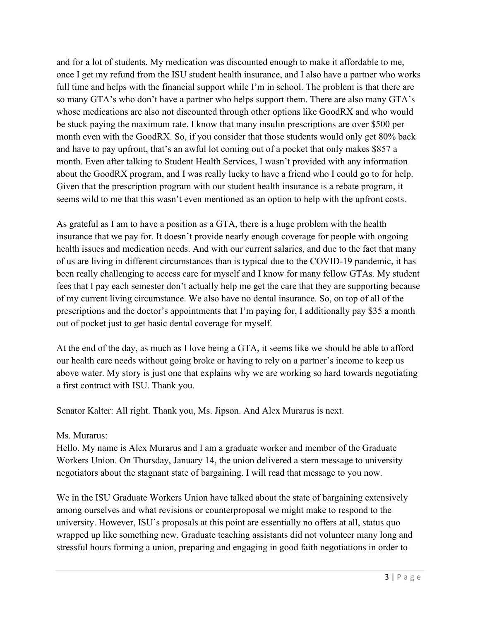and for a lot of students. My medication was discounted enough to make it affordable to me, once I get my refund from the ISU student health insurance, and I also have a partner who works full time and helps with the financial support while I'm in school. The problem is that there are so many GTA's who don't have a partner who helps support them. There are also many GTA's whose medications are also not discounted through other options like GoodRX and who would be stuck paying the maximum rate. I know that many insulin prescriptions are over \$500 per month even with the GoodRX. So, if you consider that those students would only get 80% back and have to pay upfront, that's an awful lot coming out of a pocket that only makes \$857 a month. Even after talking to Student Health Services, I wasn't provided with any information about the GoodRX program, and I was really lucky to have a friend who I could go to for help. Given that the prescription program with our student health insurance is a rebate program, it seems wild to me that this wasn't even mentioned as an option to help with the upfront costs.

As grateful as I am to have a position as a GTA, there is a huge problem with the health insurance that we pay for. It doesn't provide nearly enough coverage for people with ongoing health issues and medication needs. And with our current salaries, and due to the fact that many of us are living in different circumstances than is typical due to the COVID-19 pandemic, it has been really challenging to access care for myself and I know for many fellow GTAs. My student fees that I pay each semester don't actually help me get the care that they are supporting because of my current living circumstance. We also have no dental insurance. So, on top of all of the prescriptions and the doctor's appointments that I'm paying for, I additionally pay \$35 a month out of pocket just to get basic dental coverage for myself.

At the end of the day, as much as I love being a GTA, it seems like we should be able to afford our health care needs without going broke or having to rely on a partner's income to keep us above water. My story is just one that explains why we are working so hard towards negotiating a first contract with ISU. Thank you.

Senator Kalter: All right. Thank you, Ms. Jipson. And Alex Murarus is next.

## Ms. Murarus:

Hello. My name is Alex Murarus and I am a graduate worker and member of the Graduate Workers Union. On Thursday, January 14, the union delivered a stern message to university negotiators about the stagnant state of bargaining. I will read that message to you now.

We in the ISU Graduate Workers Union have talked about the state of bargaining extensively among ourselves and what revisions or counterproposal we might make to respond to the university. However, ISU's proposals at this point are essentially no offers at all, status quo wrapped up like something new. Graduate teaching assistants did not volunteer many long and stressful hours forming a union, preparing and engaging in good faith negotiations in order to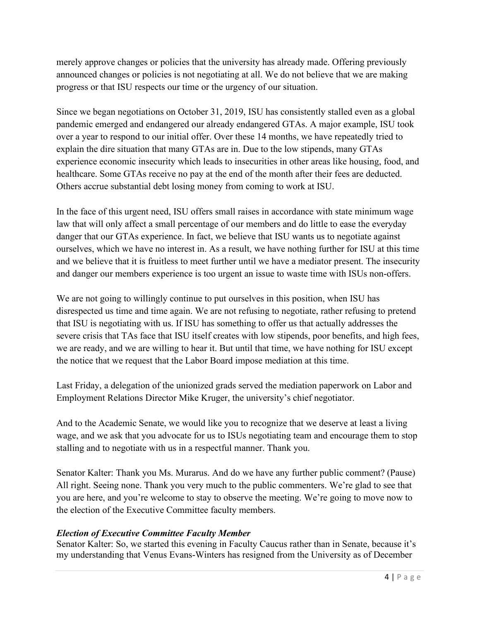merely approve changes or policies that the university has already made. Offering previously announced changes or policies is not negotiating at all. We do not believe that we are making progress or that ISU respects our time or the urgency of our situation.

Since we began negotiations on October 31, 2019, ISU has consistently stalled even as a global pandemic emerged and endangered our already endangered GTAs. A major example, ISU took over a year to respond to our initial offer. Over these 14 months, we have repeatedly tried to explain the dire situation that many GTAs are in. Due to the low stipends, many GTAs experience economic insecurity which leads to insecurities in other areas like housing, food, and healthcare. Some GTAs receive no pay at the end of the month after their fees are deducted. Others accrue substantial debt losing money from coming to work at ISU.

In the face of this urgent need, ISU offers small raises in accordance with state minimum wage law that will only affect a small percentage of our members and do little to ease the everyday danger that our GTAs experience. In fact, we believe that ISU wants us to negotiate against ourselves, which we have no interest in. As a result, we have nothing further for ISU at this time and we believe that it is fruitless to meet further until we have a mediator present. The insecurity and danger our members experience is too urgent an issue to waste time with ISUs non-offers.

We are not going to willingly continue to put ourselves in this position, when ISU has disrespected us time and time again. We are not refusing to negotiate, rather refusing to pretend that ISU is negotiating with us. If ISU has something to offer us that actually addresses the severe crisis that TAs face that ISU itself creates with low stipends, poor benefits, and high fees, we are ready, and we are willing to hear it. But until that time, we have nothing for ISU except the notice that we request that the Labor Board impose mediation at this time.

Last Friday, a delegation of the unionized grads served the mediation paperwork on Labor and Employment Relations Director Mike Kruger, the university's chief negotiator.

And to the Academic Senate, we would like you to recognize that we deserve at least a living wage, and we ask that you advocate for us to ISUs negotiating team and encourage them to stop stalling and to negotiate with us in a respectful manner. Thank you.

Senator Kalter: Thank you Ms. Murarus. And do we have any further public comment? (Pause) All right. Seeing none. Thank you very much to the public commenters. We're glad to see that you are here, and you're welcome to stay to observe the meeting. We're going to move now to the election of the Executive Committee faculty members.

## *Election of Executive Committee Faculty Member*

Senator Kalter: So, we started this evening in Faculty Caucus rather than in Senate, because it's my understanding that Venus Evans-Winters has resigned from the University as of December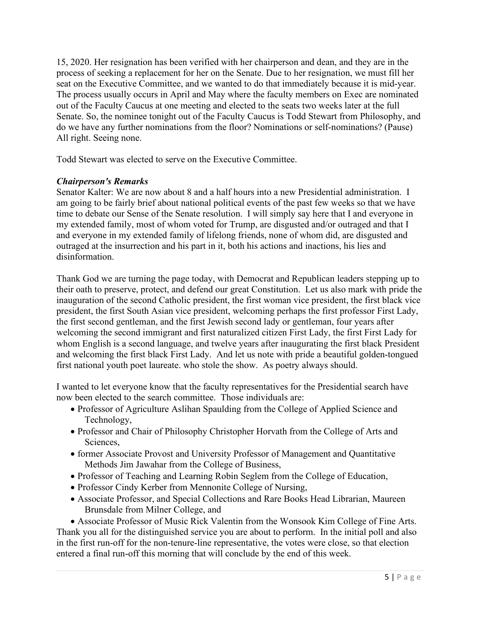15, 2020. Her resignation has been verified with her chairperson and dean, and they are in the process of seeking a replacement for her on the Senate. Due to her resignation, we must fill her seat on the Executive Committee, and we wanted to do that immediately because it is mid-year. The process usually occurs in April and May where the faculty members on Exec are nominated out of the Faculty Caucus at one meeting and elected to the seats two weeks later at the full Senate. So, the nominee tonight out of the Faculty Caucus is Todd Stewart from Philosophy, and do we have any further nominations from the floor? Nominations or self-nominations? (Pause) All right. Seeing none.

Todd Stewart was elected to serve on the Executive Committee.

## *Chairperson's Remarks*

Senator Kalter: We are now about 8 and a half hours into a new Presidential administration. I am going to be fairly brief about national political events of the past few weeks so that we have time to debate our Sense of the Senate resolution. I will simply say here that I and everyone in my extended family, most of whom voted for Trump, are disgusted and/or outraged and that I and everyone in my extended family of lifelong friends, none of whom did, are disgusted and outraged at the insurrection and his part in it, both his actions and inactions, his lies and disinformation.

Thank God we are turning the page today, with Democrat and Republican leaders stepping up to their oath to preserve, protect, and defend our great Constitution. Let us also mark with pride the inauguration of the second Catholic president, the first woman vice president, the first black vice president, the first South Asian vice president, welcoming perhaps the first professor First Lady, the first second gentleman, and the first Jewish second lady or gentleman, four years after welcoming the second immigrant and first naturalized citizen First Lady, the first First Lady for whom English is a second language, and twelve years after inaugurating the first black President and welcoming the first black First Lady. And let us note with pride a beautiful golden-tongued first national youth poet laureate. who stole the show. As poetry always should.

I wanted to let everyone know that the faculty representatives for the Presidential search have now been elected to the search committee. Those individuals are:

- Professor of Agriculture Aslihan Spaulding from the College of Applied Science and Technology,
- Professor and Chair of Philosophy Christopher Horvath from the College of Arts and Sciences,
- former Associate Provost and University Professor of Management and Quantitative Methods Jim Jawahar from the College of Business,
- Professor of Teaching and Learning Robin Seglem from the College of Education,
- Professor Cindy Kerber from Mennonite College of Nursing,
- Associate Professor, and Special Collections and Rare Books Head Librarian, Maureen Brunsdale from Milner College, and

• Associate Professor of Music Rick Valentin from the Wonsook Kim College of Fine Arts. Thank you all for the distinguished service you are about to perform. In the initial poll and also in the first run-off for the non-tenure-line representative, the votes were close, so that election entered a final run-off this morning that will conclude by the end of this week.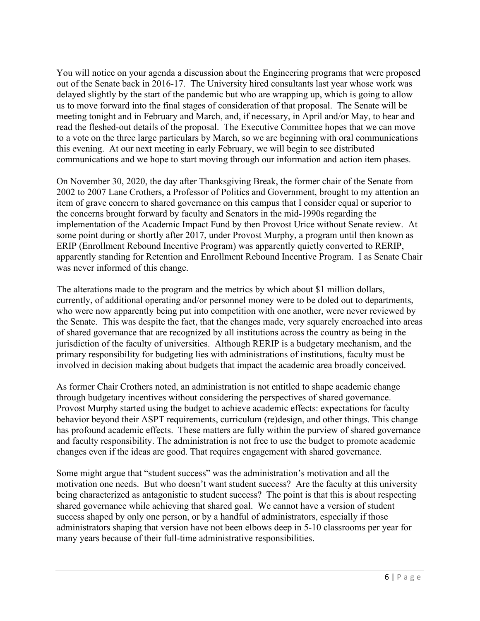You will notice on your agenda a discussion about the Engineering programs that were proposed out of the Senate back in 2016-17. The University hired consultants last year whose work was delayed slightly by the start of the pandemic but who are wrapping up, which is going to allow us to move forward into the final stages of consideration of that proposal. The Senate will be meeting tonight and in February and March, and, if necessary, in April and/or May, to hear and read the fleshed-out details of the proposal. The Executive Committee hopes that we can move to a vote on the three large particulars by March, so we are beginning with oral communications this evening. At our next meeting in early February, we will begin to see distributed communications and we hope to start moving through our information and action item phases.

On November 30, 2020, the day after Thanksgiving Break, the former chair of the Senate from 2002 to 2007 Lane Crothers, a Professor of Politics and Government, brought to my attention an item of grave concern to shared governance on this campus that I consider equal or superior to the concerns brought forward by faculty and Senators in the mid-1990s regarding the implementation of the Academic Impact Fund by then Provost Urice without Senate review. At some point during or shortly after 2017, under Provost Murphy, a program until then known as ERIP (Enrollment Rebound Incentive Program) was apparently quietly converted to RERIP, apparently standing for Retention and Enrollment Rebound Incentive Program. I as Senate Chair was never informed of this change.

The alterations made to the program and the metrics by which about \$1 million dollars, currently, of additional operating and/or personnel money were to be doled out to departments, who were now apparently being put into competition with one another, were never reviewed by the Senate. This was despite the fact, that the changes made, very squarely encroached into areas of shared governance that are recognized by all institutions across the country as being in the jurisdiction of the faculty of universities. Although RERIP is a budgetary mechanism, and the primary responsibility for budgeting lies with administrations of institutions, faculty must be involved in decision making about budgets that impact the academic area broadly conceived.

As former Chair Crothers noted, an administration is not entitled to shape academic change through budgetary incentives without considering the perspectives of shared governance. Provost Murphy started using the budget to achieve academic effects: expectations for faculty behavior beyond their ASPT requirements, curriculum (re)design, and other things. This change has profound academic effects. These matters are fully within the purview of shared governance and faculty responsibility. The administration is not free to use the budget to promote academic changes even if the ideas are good. That requires engagement with shared governance.

Some might argue that "student success" was the administration's motivation and all the motivation one needs. But who doesn't want student success? Are the faculty at this university being characterized as antagonistic to student success? The point is that this is about respecting shared governance while achieving that shared goal. We cannot have a version of student success shaped by only one person, or by a handful of administrators, especially if those administrators shaping that version have not been elbows deep in 5-10 classrooms per year for many years because of their full-time administrative responsibilities.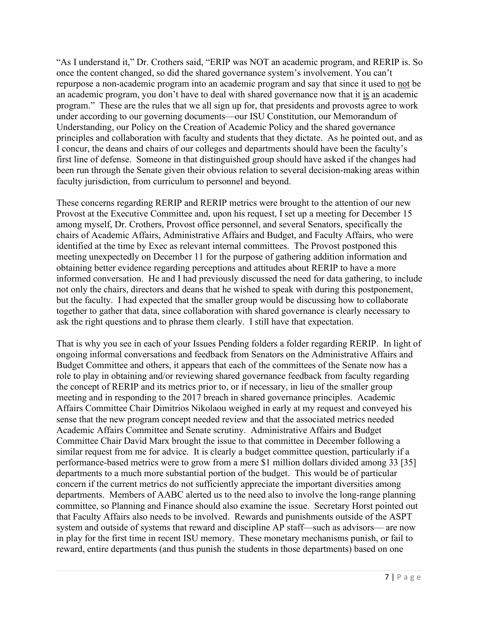"As I understand it," Dr. Crothers said, "ERIP was NOT an academic program, and RERIP is. So once the content changed, so did the shared governance system's involvement. You can't repurpose a non-academic program into an academic program and say that since it used to not be an academic program, you don't have to deal with shared governance now that it is an academic program." These are the rules that we all sign up for, that presidents and provosts agree to work under according to our governing documents—our ISU Constitution, our Memorandum of Understanding, our Policy on the Creation of Academic Policy and the shared governance principles and collaboration with faculty and students that they dictate. As he pointed out, and as I concur, the deans and chairs of our colleges and departments should have been the faculty's first line of defense. Someone in that distinguished group should have asked if the changes had been run through the Senate given their obvious relation to several decision-making areas within faculty jurisdiction, from curriculum to personnel and beyond.

These concerns regarding RERIP and RERIP metrics were brought to the attention of our new Provost at the Executive Committee and, upon his request, I set up a meeting for December 15 among myself, Dr. Crothers, Provost office personnel, and several Senators, specifically the chairs of Academic Affairs, Administrative Affairs and Budget, and Faculty Affairs, who were identified at the time by Exec as relevant internal committees. The Provost postponed this meeting unexpectedly on December 11 for the purpose of gathering addition information and obtaining better evidence regarding perceptions and attitudes about RERIP to have a more informed conversation. He and I had previously discussed the need for data gathering, to include not only the chairs, directors and deans that he wished to speak with during this postponement, but the faculty. I had expected that the smaller group would be discussing how to collaborate together to gather that data, since collaboration with shared governance is clearly necessary to ask the right questions and to phrase them clearly. I still have that expectation.

That is why you see in each of your Issues Pending folders a folder regarding RERIP. In light of ongoing informal conversations and feedback from Senators on the Administrative Affairs and Budget Committee and others, it appears that each of the committees of the Senate now has a role to play in obtaining and/or reviewing shared governance feedback from faculty regarding the concept of RERIP and its metrics prior to, or if necessary, in lieu of the smaller group meeting and in responding to the 2017 breach in shared governance principles. Academic Affairs Committee Chair Dimitrios Nikolaou weighed in early at my request and conveyed his sense that the new program concept needed review and that the associated metrics needed Academic Affairs Committee and Senate scrutiny. Administrative Affairs and Budget Committee Chair David Marx brought the issue to that committee in December following a similar request from me for advice. It is clearly a budget committee question, particularly if a performance-based metrics were to grow from a mere \$1 million dollars divided among 33 [35] departments to a much more substantial portion of the budget. This would be of particular concern if the current metrics do not sufficiently appreciate the important diversities among departments. Members of AABC alerted us to the need also to involve the long-range planning committee, so Planning and Finance should also examine the issue. Secretary Horst pointed out that Faculty Affairs also needs to be involved. Rewards and punishments outside of the ASPT system and outside of systems that reward and discipline AP staff—such as advisors— are now in play for the first time in recent ISU memory. These monetary mechanisms punish, or fail to reward, entire departments (and thus punish the students in those departments) based on one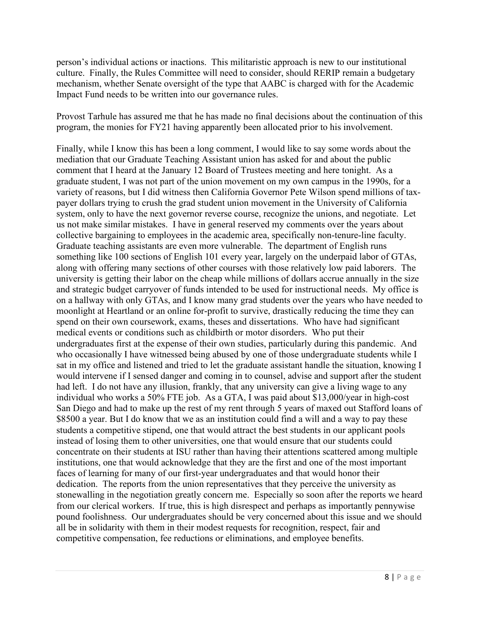person's individual actions or inactions. This militaristic approach is new to our institutional culture. Finally, the Rules Committee will need to consider, should RERIP remain a budgetary mechanism, whether Senate oversight of the type that AABC is charged with for the Academic Impact Fund needs to be written into our governance rules.

Provost Tarhule has assured me that he has made no final decisions about the continuation of this program, the monies for FY21 having apparently been allocated prior to his involvement.

Finally, while I know this has been a long comment, I would like to say some words about the mediation that our Graduate Teaching Assistant union has asked for and about the public comment that I heard at the January 12 Board of Trustees meeting and here tonight. As a graduate student, I was not part of the union movement on my own campus in the 1990s, for a variety of reasons, but I did witness then California Governor Pete Wilson spend millions of taxpayer dollars trying to crush the grad student union movement in the University of California system, only to have the next governor reverse course, recognize the unions, and negotiate. Let us not make similar mistakes. I have in general reserved my comments over the years about collective bargaining to employees in the academic area, specifically non-tenure-line faculty. Graduate teaching assistants are even more vulnerable. The department of English runs something like 100 sections of English 101 every year, largely on the underpaid labor of GTAs, along with offering many sections of other courses with those relatively low paid laborers. The university is getting their labor on the cheap while millions of dollars accrue annually in the size and strategic budget carryover of funds intended to be used for instructional needs. My office is on a hallway with only GTAs, and I know many grad students over the years who have needed to moonlight at Heartland or an online for-profit to survive, drastically reducing the time they can spend on their own coursework, exams, theses and dissertations. Who have had significant medical events or conditions such as childbirth or motor disorders. Who put their undergraduates first at the expense of their own studies, particularly during this pandemic. And who occasionally I have witnessed being abused by one of those undergraduate students while I sat in my office and listened and tried to let the graduate assistant handle the situation, knowing I would intervene if I sensed danger and coming in to counsel, advise and support after the student had left. I do not have any illusion, frankly, that any university can give a living wage to any individual who works a 50% FTE job. As a GTA, I was paid about \$13,000/year in high-cost San Diego and had to make up the rest of my rent through 5 years of maxed out Stafford loans of \$8500 a year. But I do know that we as an institution could find a will and a way to pay these students a competitive stipend, one that would attract the best students in our applicant pools instead of losing them to other universities, one that would ensure that our students could concentrate on their students at ISU rather than having their attentions scattered among multiple institutions, one that would acknowledge that they are the first and one of the most important faces of learning for many of our first-year undergraduates and that would honor their dedication. The reports from the union representatives that they perceive the university as stonewalling in the negotiation greatly concern me. Especially so soon after the reports we heard from our clerical workers. If true, this is high disrespect and perhaps as importantly pennywise pound foolishness. Our undergraduates should be very concerned about this issue and we should all be in solidarity with them in their modest requests for recognition, respect, fair and competitive compensation, fee reductions or eliminations, and employee benefits.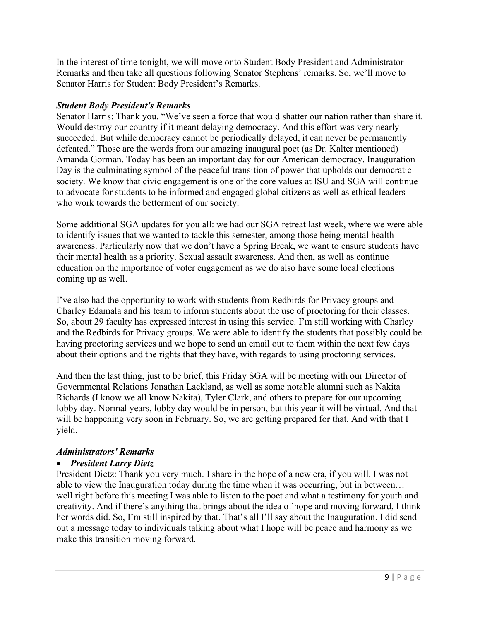In the interest of time tonight, we will move onto Student Body President and Administrator Remarks and then take all questions following Senator Stephens' remarks. So, we'll move to Senator Harris for Student Body President's Remarks.

## *Student Body President's Remarks*

Senator Harris: Thank you. "We've seen a force that would shatter our nation rather than share it. Would destroy our country if it meant delaying democracy. And this effort was very nearly succeeded. But while democracy cannot be periodically delayed, it can never be permanently defeated." Those are the words from our amazing inaugural poet (as Dr. Kalter mentioned) Amanda Gorman. Today has been an important day for our American democracy. Inauguration Day is the culminating symbol of the peaceful transition of power that upholds our democratic society. We know that civic engagement is one of the core values at ISU and SGA will continue to advocate for students to be informed and engaged global citizens as well as ethical leaders who work towards the betterment of our society.

Some additional SGA updates for you all: we had our SGA retreat last week, where we were able to identify issues that we wanted to tackle this semester, among those being mental health awareness. Particularly now that we don't have a Spring Break, we want to ensure students have their mental health as a priority. Sexual assault awareness. And then, as well as continue education on the importance of voter engagement as we do also have some local elections coming up as well.

I've also had the opportunity to work with students from Redbirds for Privacy groups and Charley Edamala and his team to inform students about the use of proctoring for their classes. So, about 29 faculty has expressed interest in using this service. I'm still working with Charley and the Redbirds for Privacy groups. We were able to identify the students that possibly could be having proctoring services and we hope to send an email out to them within the next few days about their options and the rights that they have, with regards to using proctoring services.

And then the last thing, just to be brief, this Friday SGA will be meeting with our Director of Governmental Relations Jonathan Lackland, as well as some notable alumni such as Nakita Richards (I know we all know Nakita), Tyler Clark, and others to prepare for our upcoming lobby day. Normal years, lobby day would be in person, but this year it will be virtual. And that will be happening very soon in February. So, we are getting prepared for that. And with that I yield.

## *Administrators' Remarks*

## • *President Larry Dietz*

President Dietz: Thank you very much. I share in the hope of a new era, if you will. I was not able to view the Inauguration today during the time when it was occurring, but in between… well right before this meeting I was able to listen to the poet and what a testimony for youth and creativity. And if there's anything that brings about the idea of hope and moving forward, I think her words did. So, I'm still inspired by that. That's all I'll say about the Inauguration. I did send out a message today to individuals talking about what I hope will be peace and harmony as we make this transition moving forward.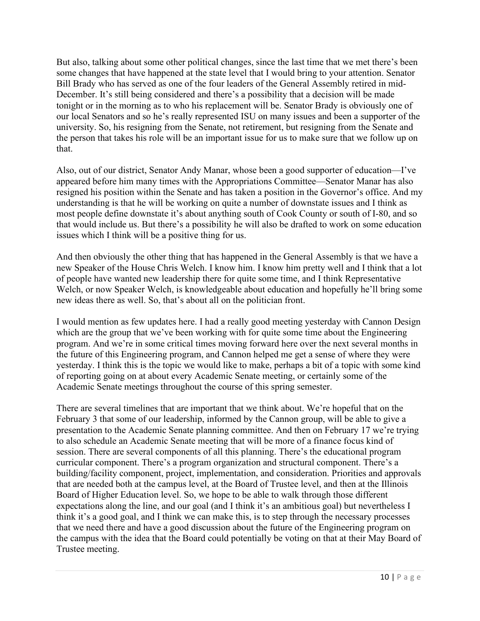But also, talking about some other political changes, since the last time that we met there's been some changes that have happened at the state level that I would bring to your attention. Senator Bill Brady who has served as one of the four leaders of the General Assembly retired in mid-December. It's still being considered and there's a possibility that a decision will be made tonight or in the morning as to who his replacement will be. Senator Brady is obviously one of our local Senators and so he's really represented ISU on many issues and been a supporter of the university. So, his resigning from the Senate, not retirement, but resigning from the Senate and the person that takes his role will be an important issue for us to make sure that we follow up on that.

Also, out of our district, Senator Andy Manar, whose been a good supporter of education—I've appeared before him many times with the Appropriations Committee—Senator Manar has also resigned his position within the Senate and has taken a position in the Governor's office. And my understanding is that he will be working on quite a number of downstate issues and I think as most people define downstate it's about anything south of Cook County or south of I-80, and so that would include us. But there's a possibility he will also be drafted to work on some education issues which I think will be a positive thing for us.

And then obviously the other thing that has happened in the General Assembly is that we have a new Speaker of the House Chris Welch. I know him. I know him pretty well and I think that a lot of people have wanted new leadership there for quite some time, and I think Representative Welch, or now Speaker Welch, is knowledgeable about education and hopefully he'll bring some new ideas there as well. So, that's about all on the politician front.

I would mention as few updates here. I had a really good meeting yesterday with Cannon Design which are the group that we've been working with for quite some time about the Engineering program. And we're in some critical times moving forward here over the next several months in the future of this Engineering program, and Cannon helped me get a sense of where they were yesterday. I think this is the topic we would like to make, perhaps a bit of a topic with some kind of reporting going on at about every Academic Senate meeting, or certainly some of the Academic Senate meetings throughout the course of this spring semester.

There are several timelines that are important that we think about. We're hopeful that on the February 3 that some of our leadership, informed by the Cannon group, will be able to give a presentation to the Academic Senate planning committee. And then on February 17 we're trying to also schedule an Academic Senate meeting that will be more of a finance focus kind of session. There are several components of all this planning. There's the educational program curricular component. There's a program organization and structural component. There's a building/facility component, project, implementation, and consideration. Priorities and approvals that are needed both at the campus level, at the Board of Trustee level, and then at the Illinois Board of Higher Education level. So, we hope to be able to walk through those different expectations along the line, and our goal (and I think it's an ambitious goal) but nevertheless I think it's a good goal, and I think we can make this, is to step through the necessary processes that we need there and have a good discussion about the future of the Engineering program on the campus with the idea that the Board could potentially be voting on that at their May Board of Trustee meeting.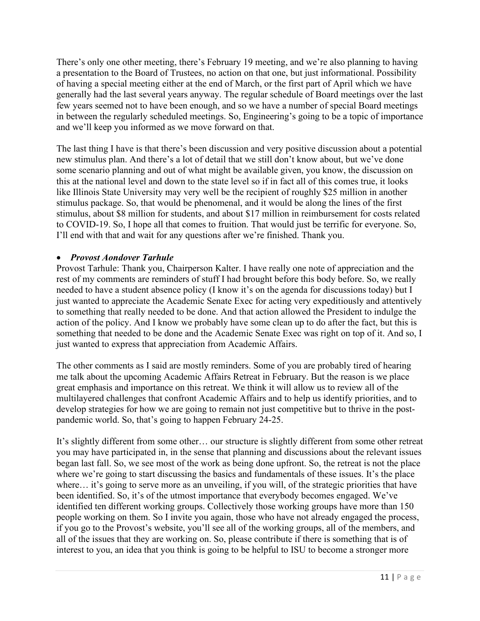There's only one other meeting, there's February 19 meeting, and we're also planning to having a presentation to the Board of Trustees, no action on that one, but just informational. Possibility of having a special meeting either at the end of March, or the first part of April which we have generally had the last several years anyway. The regular schedule of Board meetings over the last few years seemed not to have been enough, and so we have a number of special Board meetings in between the regularly scheduled meetings. So, Engineering's going to be a topic of importance and we'll keep you informed as we move forward on that.

The last thing I have is that there's been discussion and very positive discussion about a potential new stimulus plan. And there's a lot of detail that we still don't know about, but we've done some scenario planning and out of what might be available given, you know, the discussion on this at the national level and down to the state level so if in fact all of this comes true, it looks like Illinois State University may very well be the recipient of roughly \$25 million in another stimulus package. So, that would be phenomenal, and it would be along the lines of the first stimulus, about \$8 million for students, and about \$17 million in reimbursement for costs related to COVID-19. So, I hope all that comes to fruition. That would just be terrific for everyone. So, I'll end with that and wait for any questions after we're finished. Thank you.

## • *Provost Aondover Tarhule*

Provost Tarhule: Thank you, Chairperson Kalter. I have really one note of appreciation and the rest of my comments are reminders of stuff I had brought before this body before. So, we really needed to have a student absence policy (I know it's on the agenda for discussions today) but I just wanted to appreciate the Academic Senate Exec for acting very expeditiously and attentively to something that really needed to be done. And that action allowed the President to indulge the action of the policy. And I know we probably have some clean up to do after the fact, but this is something that needed to be done and the Academic Senate Exec was right on top of it. And so, I just wanted to express that appreciation from Academic Affairs.

The other comments as I said are mostly reminders. Some of you are probably tired of hearing me talk about the upcoming Academic Affairs Retreat in February. But the reason is we place great emphasis and importance on this retreat. We think it will allow us to review all of the multilayered challenges that confront Academic Affairs and to help us identify priorities, and to develop strategies for how we are going to remain not just competitive but to thrive in the postpandemic world. So, that's going to happen February 24-25.

It's slightly different from some other… our structure is slightly different from some other retreat you may have participated in, in the sense that planning and discussions about the relevant issues began last fall. So, we see most of the work as being done upfront. So, the retreat is not the place where we're going to start discussing the basics and fundamentals of these issues. It's the place where... it's going to serve more as an unveiling, if you will, of the strategic priorities that have been identified. So, it's of the utmost importance that everybody becomes engaged. We've identified ten different working groups. Collectively those working groups have more than 150 people working on them. So I invite you again, those who have not already engaged the process, if you go to the Provost's website, you'll see all of the working groups, all of the members, and all of the issues that they are working on. So, please contribute if there is something that is of interest to you, an idea that you think is going to be helpful to ISU to become a stronger more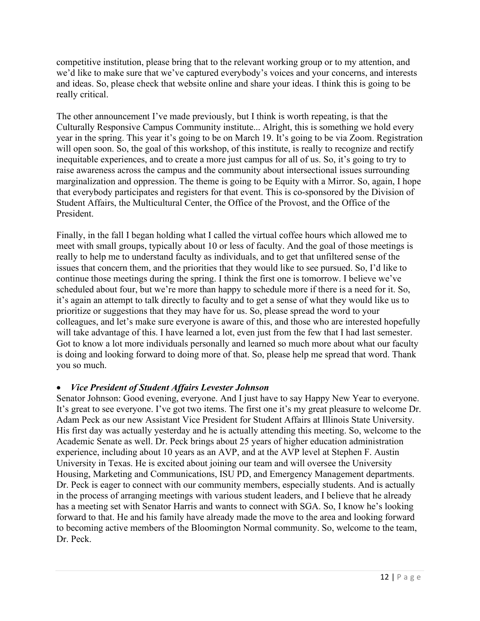competitive institution, please bring that to the relevant working group or to my attention, and we'd like to make sure that we've captured everybody's voices and your concerns, and interests and ideas. So, please check that website online and share your ideas. I think this is going to be really critical.

The other announcement I've made previously, but I think is worth repeating, is that the Culturally Responsive Campus Community institute... Alright, this is something we hold every year in the spring. This year it's going to be on March 19. It's going to be via Zoom. Registration will open soon. So, the goal of this workshop, of this institute, is really to recognize and rectify inequitable experiences, and to create a more just campus for all of us. So, it's going to try to raise awareness across the campus and the community about intersectional issues surrounding marginalization and oppression. The theme is going to be Equity with a Mirror. So, again, I hope that everybody participates and registers for that event. This is co-sponsored by the Division of Student Affairs, the Multicultural Center, the Office of the Provost, and the Office of the President.

Finally, in the fall I began holding what I called the virtual coffee hours which allowed me to meet with small groups, typically about 10 or less of faculty. And the goal of those meetings is really to help me to understand faculty as individuals, and to get that unfiltered sense of the issues that concern them, and the priorities that they would like to see pursued. So, I'd like to continue those meetings during the spring. I think the first one is tomorrow. I believe we've scheduled about four, but we're more than happy to schedule more if there is a need for it. So, it's again an attempt to talk directly to faculty and to get a sense of what they would like us to prioritize or suggestions that they may have for us. So, please spread the word to your colleagues, and let's make sure everyone is aware of this, and those who are interested hopefully will take advantage of this. I have learned a lot, even just from the few that I had last semester. Got to know a lot more individuals personally and learned so much more about what our faculty is doing and looking forward to doing more of that. So, please help me spread that word. Thank you so much.

## • *Vice President of Student Affairs Levester Johnson*

Senator Johnson: Good evening, everyone. And I just have to say Happy New Year to everyone. It's great to see everyone. I've got two items. The first one it's my great pleasure to welcome Dr. Adam Peck as our new Assistant Vice President for Student Affairs at Illinois State University. His first day was actually yesterday and he is actually attending this meeting. So, welcome to the Academic Senate as well. Dr. Peck brings about 25 years of higher education administration experience, including about 10 years as an AVP, and at the AVP level at Stephen F. Austin University in Texas. He is excited about joining our team and will oversee the University Housing, Marketing and Communications, ISU PD, and Emergency Management departments. Dr. Peck is eager to connect with our community members, especially students. And is actually in the process of arranging meetings with various student leaders, and I believe that he already has a meeting set with Senator Harris and wants to connect with SGA. So, I know he's looking forward to that. He and his family have already made the move to the area and looking forward to becoming active members of the Bloomington Normal community. So, welcome to the team, Dr. Peck.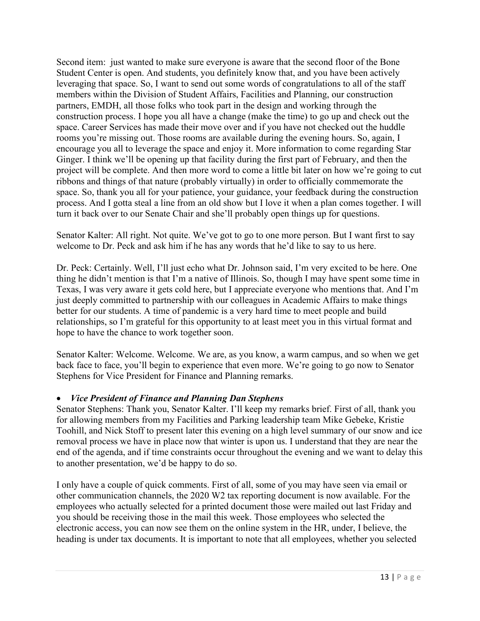Second item: just wanted to make sure everyone is aware that the second floor of the Bone Student Center is open. And students, you definitely know that, and you have been actively leveraging that space. So, I want to send out some words of congratulations to all of the staff members within the Division of Student Affairs, Facilities and Planning, our construction partners, EMDH, all those folks who took part in the design and working through the construction process. I hope you all have a change (make the time) to go up and check out the space. Career Services has made their move over and if you have not checked out the huddle rooms you're missing out. Those rooms are available during the evening hours. So, again, I encourage you all to leverage the space and enjoy it. More information to come regarding Star Ginger. I think we'll be opening up that facility during the first part of February, and then the project will be complete. And then more word to come a little bit later on how we're going to cut ribbons and things of that nature (probably virtually) in order to officially commemorate the space. So, thank you all for your patience, your guidance, your feedback during the construction process. And I gotta steal a line from an old show but I love it when a plan comes together. I will turn it back over to our Senate Chair and she'll probably open things up for questions.

Senator Kalter: All right. Not quite. We've got to go to one more person. But I want first to say welcome to Dr. Peck and ask him if he has any words that he'd like to say to us here.

Dr. Peck: Certainly. Well, I'll just echo what Dr. Johnson said, I'm very excited to be here. One thing he didn't mention is that I'm a native of Illinois. So, though I may have spent some time in Texas, I was very aware it gets cold here, but I appreciate everyone who mentions that. And I'm just deeply committed to partnership with our colleagues in Academic Affairs to make things better for our students. A time of pandemic is a very hard time to meet people and build relationships, so I'm grateful for this opportunity to at least meet you in this virtual format and hope to have the chance to work together soon.

Senator Kalter: Welcome. Welcome. We are, as you know, a warm campus, and so when we get back face to face, you'll begin to experience that even more. We're going to go now to Senator Stephens for Vice President for Finance and Planning remarks.

## • *Vice President of Finance and Planning Dan Stephens*

Senator Stephens: Thank you, Senator Kalter. I'll keep my remarks brief. First of all, thank you for allowing members from my Facilities and Parking leadership team Mike Gebeke, Kristie Toohill, and Nick Stoff to present later this evening on a high level summary of our snow and ice removal process we have in place now that winter is upon us. I understand that they are near the end of the agenda, and if time constraints occur throughout the evening and we want to delay this to another presentation, we'd be happy to do so.

I only have a couple of quick comments. First of all, some of you may have seen via email or other communication channels, the 2020 W2 tax reporting document is now available. For the employees who actually selected for a printed document those were mailed out last Friday and you should be receiving those in the mail this week. Those employees who selected the electronic access, you can now see them on the online system in the HR, under, I believe, the heading is under tax documents. It is important to note that all employees, whether you selected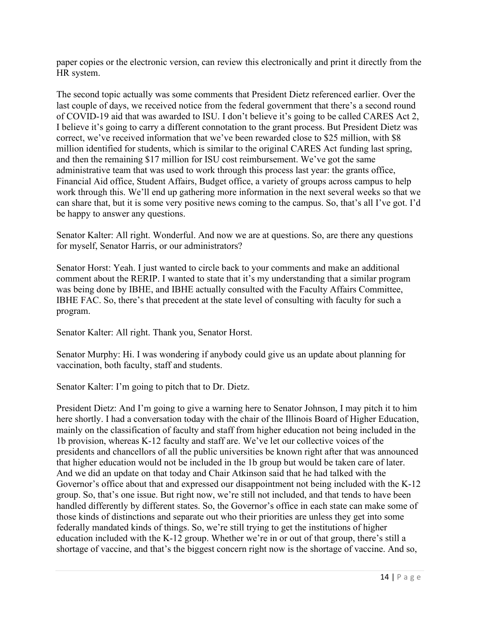paper copies or the electronic version, can review this electronically and print it directly from the HR system.

The second topic actually was some comments that President Dietz referenced earlier. Over the last couple of days, we received notice from the federal government that there's a second round of COVID-19 aid that was awarded to ISU. I don't believe it's going to be called CARES Act 2, I believe it's going to carry a different connotation to the grant process. But President Dietz was correct, we've received information that we've been rewarded close to \$25 million, with \$8 million identified for students, which is similar to the original CARES Act funding last spring, and then the remaining \$17 million for ISU cost reimbursement. We've got the same administrative team that was used to work through this process last year: the grants office, Financial Aid office, Student Affairs, Budget office, a variety of groups across campus to help work through this. We'll end up gathering more information in the next several weeks so that we can share that, but it is some very positive news coming to the campus. So, that's all I've got. I'd be happy to answer any questions.

Senator Kalter: All right. Wonderful. And now we are at questions. So, are there any questions for myself, Senator Harris, or our administrators?

Senator Horst: Yeah. I just wanted to circle back to your comments and make an additional comment about the RERIP. I wanted to state that it's my understanding that a similar program was being done by IBHE, and IBHE actually consulted with the Faculty Affairs Committee, IBHE FAC. So, there's that precedent at the state level of consulting with faculty for such a program.

Senator Kalter: All right. Thank you, Senator Horst.

Senator Murphy: Hi. I was wondering if anybody could give us an update about planning for vaccination, both faculty, staff and students.

Senator Kalter: I'm going to pitch that to Dr. Dietz.

President Dietz: And I'm going to give a warning here to Senator Johnson, I may pitch it to him here shortly. I had a conversation today with the chair of the Illinois Board of Higher Education, mainly on the classification of faculty and staff from higher education not being included in the 1b provision, whereas K-12 faculty and staff are. We've let our collective voices of the presidents and chancellors of all the public universities be known right after that was announced that higher education would not be included in the 1b group but would be taken care of later. And we did an update on that today and Chair Atkinson said that he had talked with the Governor's office about that and expressed our disappointment not being included with the K-12 group. So, that's one issue. But right now, we're still not included, and that tends to have been handled differently by different states. So, the Governor's office in each state can make some of those kinds of distinctions and separate out who their priorities are unless they get into some federally mandated kinds of things. So, we're still trying to get the institutions of higher education included with the K-12 group. Whether we're in or out of that group, there's still a shortage of vaccine, and that's the biggest concern right now is the shortage of vaccine. And so,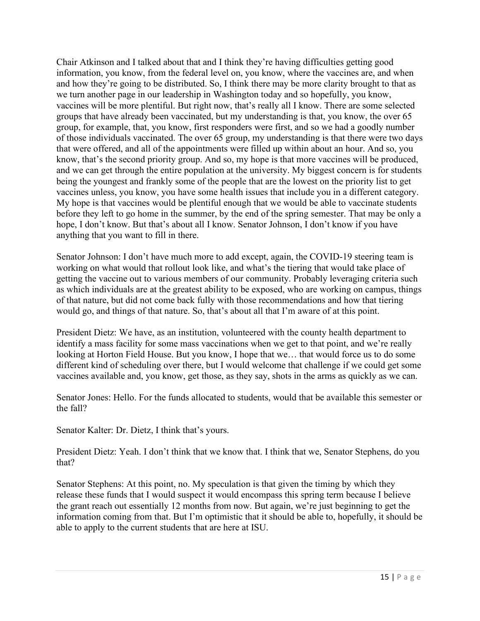Chair Atkinson and I talked about that and I think they're having difficulties getting good information, you know, from the federal level on, you know, where the vaccines are, and when and how they're going to be distributed. So, I think there may be more clarity brought to that as we turn another page in our leadership in Washington today and so hopefully, you know, vaccines will be more plentiful. But right now, that's really all I know. There are some selected groups that have already been vaccinated, but my understanding is that, you know, the over 65 group, for example, that, you know, first responders were first, and so we had a goodly number of those individuals vaccinated. The over 65 group, my understanding is that there were two days that were offered, and all of the appointments were filled up within about an hour. And so, you know, that's the second priority group. And so, my hope is that more vaccines will be produced, and we can get through the entire population at the university. My biggest concern is for students being the youngest and frankly some of the people that are the lowest on the priority list to get vaccines unless, you know, you have some health issues that include you in a different category. My hope is that vaccines would be plentiful enough that we would be able to vaccinate students before they left to go home in the summer, by the end of the spring semester. That may be only a hope, I don't know. But that's about all I know. Senator Johnson, I don't know if you have anything that you want to fill in there.

Senator Johnson: I don't have much more to add except, again, the COVID-19 steering team is working on what would that rollout look like, and what's the tiering that would take place of getting the vaccine out to various members of our community. Probably leveraging criteria such as which individuals are at the greatest ability to be exposed, who are working on campus, things of that nature, but did not come back fully with those recommendations and how that tiering would go, and things of that nature. So, that's about all that I'm aware of at this point.

President Dietz: We have, as an institution, volunteered with the county health department to identify a mass facility for some mass vaccinations when we get to that point, and we're really looking at Horton Field House. But you know, I hope that we… that would force us to do some different kind of scheduling over there, but I would welcome that challenge if we could get some vaccines available and, you know, get those, as they say, shots in the arms as quickly as we can.

Senator Jones: Hello. For the funds allocated to students, would that be available this semester or the fall?

Senator Kalter: Dr. Dietz, I think that's yours.

President Dietz: Yeah. I don't think that we know that. I think that we, Senator Stephens, do you that?

Senator Stephens: At this point, no. My speculation is that given the timing by which they release these funds that I would suspect it would encompass this spring term because I believe the grant reach out essentially 12 months from now. But again, we're just beginning to get the information coming from that. But I'm optimistic that it should be able to, hopefully, it should be able to apply to the current students that are here at ISU.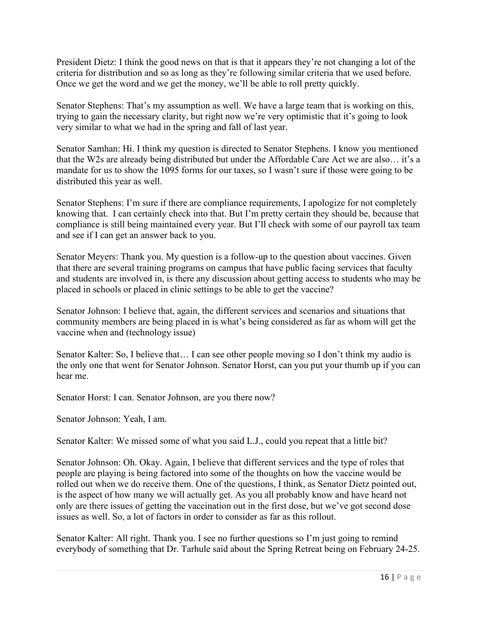President Dietz: I think the good news on that is that it appears they're not changing a lot of the criteria for distribution and so as long as they're following similar criteria that we used before. Once we get the word and we get the money, we'll be able to roll pretty quickly.

Senator Stephens: That's my assumption as well. We have a large team that is working on this, trying to gain the necessary clarity, but right now we're very optimistic that it's going to look very similar to what we had in the spring and fall of last year.

Senator Samhan: Hi. I think my question is directed to Senator Stephens. I know you mentioned that the W2s are already being distributed but under the Affordable Care Act we are also… it's a mandate for us to show the 1095 forms for our taxes, so I wasn't sure if those were going to be distributed this year as well.

Senator Stephens: I'm sure if there are compliance requirements, I apologize for not completely knowing that. I can certainly check into that. But I'm pretty certain they should be, because that compliance is still being maintained every year. But I'll check with some of our payroll tax team and see if I can get an answer back to you.

Senator Meyers: Thank you. My question is a follow-up to the question about vaccines. Given that there are several training programs on campus that have public facing services that faculty and students are involved in, is there any discussion about getting access to students who may be placed in schools or placed in clinic settings to be able to get the vaccine?

Senator Johnson: I believe that, again, the different services and scenarios and situations that community members are being placed in is what's being considered as far as whom will get the vaccine when and (technology issue)

Senator Kalter: So, I believe that… I can see other people moving so I don't think my audio is the only one that went for Senator Johnson. Senator Horst, can you put your thumb up if you can hear me.

Senator Horst: I can. Senator Johnson, are you there now?

Senator Johnson: Yeah, I am.

Senator Kalter: We missed some of what you said L.J., could you repeat that a little bit?

Senator Johnson: Oh. Okay. Again, I believe that different services and the type of roles that people are playing is being factored into some of the thoughts on how the vaccine would be rolled out when we do receive them. One of the questions, I think, as Senator Dietz pointed out, is the aspect of how many we will actually get. As you all probably know and have heard not only are there issues of getting the vaccination out in the first dose, but we've got second dose issues as well. So, a lot of factors in order to consider as far as this rollout.

Senator Kalter: All right. Thank you. I see no further questions so I'm just going to remind everybody of something that Dr. Tarhule said about the Spring Retreat being on February 24-25.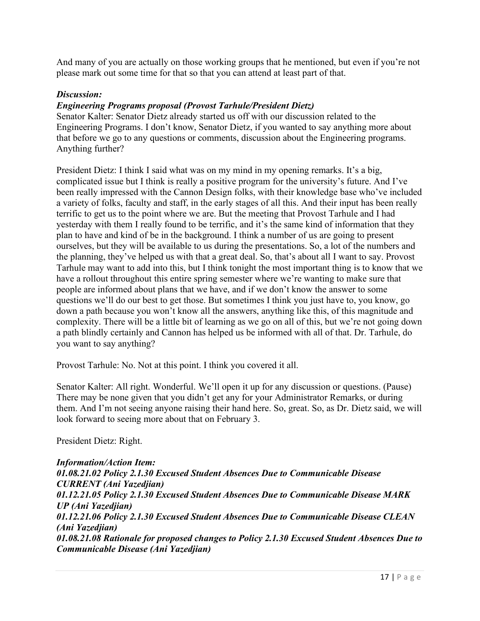And many of you are actually on those working groups that he mentioned, but even if you're not please mark out some time for that so that you can attend at least part of that.

#### *Discussion:*

## *Engineering Programs proposal (Provost Tarhule/President Dietz)*

Senator Kalter: Senator Dietz already started us off with our discussion related to the Engineering Programs. I don't know, Senator Dietz, if you wanted to say anything more about that before we go to any questions or comments, discussion about the Engineering programs. Anything further?

President Dietz: I think I said what was on my mind in my opening remarks. It's a big, complicated issue but I think is really a positive program for the university's future. And I've been really impressed with the Cannon Design folks, with their knowledge base who've included a variety of folks, faculty and staff, in the early stages of all this. And their input has been really terrific to get us to the point where we are. But the meeting that Provost Tarhule and I had yesterday with them I really found to be terrific, and it's the same kind of information that they plan to have and kind of be in the background. I think a number of us are going to present ourselves, but they will be available to us during the presentations. So, a lot of the numbers and the planning, they've helped us with that a great deal. So, that's about all I want to say. Provost Tarhule may want to add into this, but I think tonight the most important thing is to know that we have a rollout throughout this entire spring semester where we're wanting to make sure that people are informed about plans that we have, and if we don't know the answer to some questions we'll do our best to get those. But sometimes I think you just have to, you know, go down a path because you won't know all the answers, anything like this, of this magnitude and complexity. There will be a little bit of learning as we go on all of this, but we're not going down a path blindly certainly and Cannon has helped us be informed with all of that. Dr. Tarhule, do you want to say anything?

Provost Tarhule: No. Not at this point. I think you covered it all.

Senator Kalter: All right. Wonderful. We'll open it up for any discussion or questions. (Pause) There may be none given that you didn't get any for your Administrator Remarks, or during them. And I'm not seeing anyone raising their hand here. So, great. So, as Dr. Dietz said, we will look forward to seeing more about that on February 3.

President Dietz: Right.

*Information/Action Item: 01.08.21.02 Policy 2.1.30 Excused Student Absences Due to Communicable Disease CURRENT (Ani Yazedjian) 01.12.21.05 Policy 2.1.30 Excused Student Absences Due to Communicable Disease MARK UP (Ani Yazedjian) 01.12.21.06 Policy 2.1.30 Excused Student Absences Due to Communicable Disease CLEAN (Ani Yazedjian) 01.08.21.08 Rationale for proposed changes to Policy 2.1.30 Excused Student Absences Due to Communicable Disease (Ani Yazedjian)*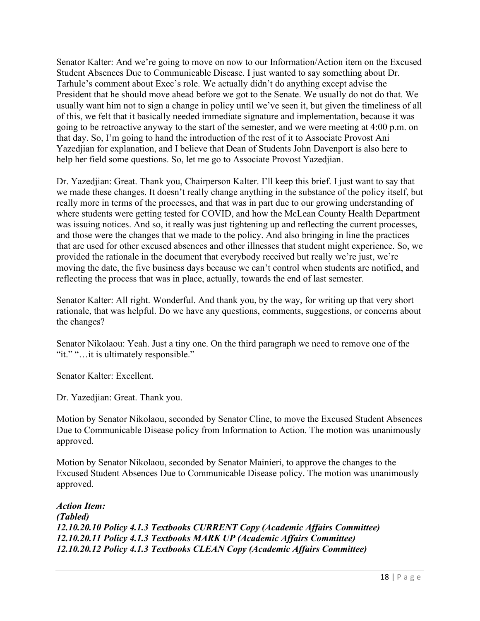Senator Kalter: And we're going to move on now to our Information/Action item on the Excused Student Absences Due to Communicable Disease. I just wanted to say something about Dr. Tarhule's comment about Exec's role. We actually didn't do anything except advise the President that he should move ahead before we got to the Senate. We usually do not do that. We usually want him not to sign a change in policy until we've seen it, but given the timeliness of all of this, we felt that it basically needed immediate signature and implementation, because it was going to be retroactive anyway to the start of the semester, and we were meeting at 4:00 p.m. on that day. So, I'm going to hand the introduction of the rest of it to Associate Provost Ani Yazedjian for explanation, and I believe that Dean of Students John Davenport is also here to help her field some questions. So, let me go to Associate Provost Yazedjian.

Dr. Yazedjian: Great. Thank you, Chairperson Kalter. I'll keep this brief. I just want to say that we made these changes. It doesn't really change anything in the substance of the policy itself, but really more in terms of the processes, and that was in part due to our growing understanding of where students were getting tested for COVID, and how the McLean County Health Department was issuing notices. And so, it really was just tightening up and reflecting the current processes, and those were the changes that we made to the policy. And also bringing in line the practices that are used for other excused absences and other illnesses that student might experience. So, we provided the rationale in the document that everybody received but really we're just, we're moving the date, the five business days because we can't control when students are notified, and reflecting the process that was in place, actually, towards the end of last semester.

Senator Kalter: All right. Wonderful. And thank you, by the way, for writing up that very short rationale, that was helpful. Do we have any questions, comments, suggestions, or concerns about the changes?

Senator Nikolaou: Yeah. Just a tiny one. On the third paragraph we need to remove one of the "it." "…it is ultimately responsible."

Senator Kalter: Excellent.

Dr. Yazedjian: Great. Thank you.

Motion by Senator Nikolaou, seconded by Senator Cline, to move the Excused Student Absences Due to Communicable Disease policy from Information to Action. The motion was unanimously approved.

Motion by Senator Nikolaou, seconded by Senator Mainieri, to approve the changes to the Excused Student Absences Due to Communicable Disease policy. The motion was unanimously approved.

*Action Item: (Tabled) 12.10.20.10 Policy 4.1.3 Textbooks CURRENT Copy (Academic Affairs Committee) 12.10.20.11 Policy 4.1.3 Textbooks MARK UP (Academic Affairs Committee) 12.10.20.12 Policy 4.1.3 Textbooks CLEAN Copy (Academic Affairs Committee)*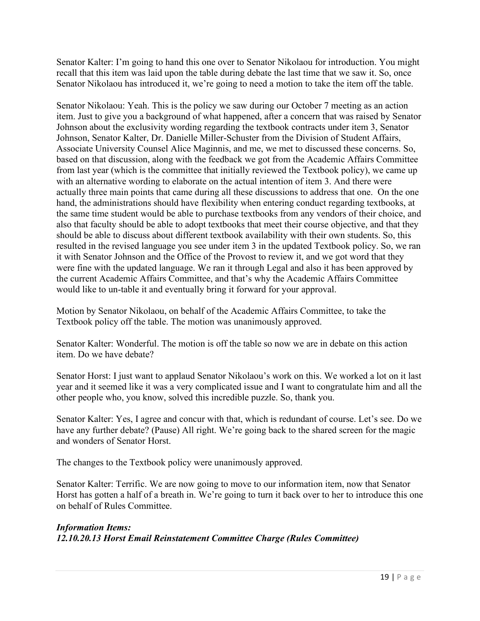Senator Kalter: I'm going to hand this one over to Senator Nikolaou for introduction. You might recall that this item was laid upon the table during debate the last time that we saw it. So, once Senator Nikolaou has introduced it, we're going to need a motion to take the item off the table.

Senator Nikolaou: Yeah. This is the policy we saw during our October 7 meeting as an action item. Just to give you a background of what happened, after a concern that was raised by Senator Johnson about the exclusivity wording regarding the textbook contracts under item 3, Senator Johnson, Senator Kalter, Dr. Danielle Miller-Schuster from the Division of Student Affairs, Associate University Counsel Alice Maginnis, and me, we met to discussed these concerns. So, based on that discussion, along with the feedback we got from the Academic Affairs Committee from last year (which is the committee that initially reviewed the Textbook policy), we came up with an alternative wording to elaborate on the actual intention of item 3. And there were actually three main points that came during all these discussions to address that one. On the one hand, the administrations should have flexibility when entering conduct regarding textbooks, at the same time student would be able to purchase textbooks from any vendors of their choice, and also that faculty should be able to adopt textbooks that meet their course objective, and that they should be able to discuss about different textbook availability with their own students. So, this resulted in the revised language you see under item 3 in the updated Textbook policy. So, we ran it with Senator Johnson and the Office of the Provost to review it, and we got word that they were fine with the updated language. We ran it through Legal and also it has been approved by the current Academic Affairs Committee, and that's why the Academic Affairs Committee would like to un-table it and eventually bring it forward for your approval.

Motion by Senator Nikolaou, on behalf of the Academic Affairs Committee, to take the Textbook policy off the table. The motion was unanimously approved.

Senator Kalter: Wonderful. The motion is off the table so now we are in debate on this action item. Do we have debate?

Senator Horst: I just want to applaud Senator Nikolaou's work on this. We worked a lot on it last year and it seemed like it was a very complicated issue and I want to congratulate him and all the other people who, you know, solved this incredible puzzle. So, thank you.

Senator Kalter: Yes, I agree and concur with that, which is redundant of course. Let's see. Do we have any further debate? (Pause) All right. We're going back to the shared screen for the magic and wonders of Senator Horst.

The changes to the Textbook policy were unanimously approved.

Senator Kalter: Terrific. We are now going to move to our information item, now that Senator Horst has gotten a half of a breath in. We're going to turn it back over to her to introduce this one on behalf of Rules Committee.

## *Information Items: 12.10.20.13 Horst Email Reinstatement Committee Charge (Rules Committee)*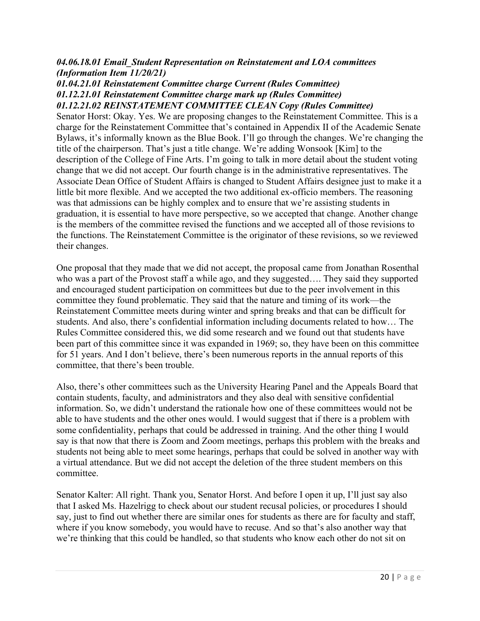#### *04.06.18.01 Email\_Student Representation on Reinstatement and LOA committees (Information Item 11/20/21)*

## *01.04.21.01 Reinstatement Committee charge Current (Rules Committee) 01.12.21.01 Reinstatement Committee charge mark up (Rules Committee) 01.12.21.02 REINSTATEMENT COMMITTEE CLEAN Copy (Rules Committee)*

Senator Horst: Okay. Yes. We are proposing changes to the Reinstatement Committee. This is a charge for the Reinstatement Committee that's contained in Appendix II of the Academic Senate Bylaws, it's informally known as the Blue Book. I'll go through the changes. We're changing the title of the chairperson. That's just a title change. We're adding Wonsook [Kim] to the description of the College of Fine Arts. I'm going to talk in more detail about the student voting change that we did not accept. Our fourth change is in the administrative representatives. The Associate Dean Office of Student Affairs is changed to Student Affairs designee just to make it a little bit more flexible. And we accepted the two additional ex-officio members. The reasoning was that admissions can be highly complex and to ensure that we're assisting students in graduation, it is essential to have more perspective, so we accepted that change. Another change is the members of the committee revised the functions and we accepted all of those revisions to the functions. The Reinstatement Committee is the originator of these revisions, so we reviewed their changes.

One proposal that they made that we did not accept, the proposal came from Jonathan Rosenthal who was a part of the Provost staff a while ago, and they suggested.... They said they supported and encouraged student participation on committees but due to the peer involvement in this committee they found problematic. They said that the nature and timing of its work—the Reinstatement Committee meets during winter and spring breaks and that can be difficult for students. And also, there's confidential information including documents related to how… The Rules Committee considered this, we did some research and we found out that students have been part of this committee since it was expanded in 1969; so, they have been on this committee for 51 years. And I don't believe, there's been numerous reports in the annual reports of this committee, that there's been trouble.

Also, there's other committees such as the University Hearing Panel and the Appeals Board that contain students, faculty, and administrators and they also deal with sensitive confidential information. So, we didn't understand the rationale how one of these committees would not be able to have students and the other ones would. I would suggest that if there is a problem with some confidentiality, perhaps that could be addressed in training. And the other thing I would say is that now that there is Zoom and Zoom meetings, perhaps this problem with the breaks and students not being able to meet some hearings, perhaps that could be solved in another way with a virtual attendance. But we did not accept the deletion of the three student members on this committee.

Senator Kalter: All right. Thank you, Senator Horst. And before I open it up, I'll just say also that I asked Ms. Hazelrigg to check about our student recusal policies, or procedures I should say, just to find out whether there are similar ones for students as there are for faculty and staff, where if you know somebody, you would have to recuse. And so that's also another way that we're thinking that this could be handled, so that students who know each other do not sit on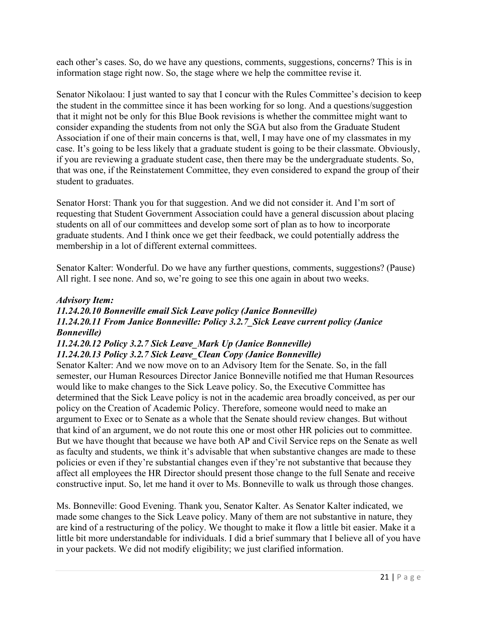each other's cases. So, do we have any questions, comments, suggestions, concerns? This is in information stage right now. So, the stage where we help the committee revise it.

Senator Nikolaou: I just wanted to say that I concur with the Rules Committee's decision to keep the student in the committee since it has been working for so long. And a questions/suggestion that it might not be only for this Blue Book revisions is whether the committee might want to consider expanding the students from not only the SGA but also from the Graduate Student Association if one of their main concerns is that, well, I may have one of my classmates in my case. It's going to be less likely that a graduate student is going to be their classmate. Obviously, if you are reviewing a graduate student case, then there may be the undergraduate students. So, that was one, if the Reinstatement Committee, they even considered to expand the group of their student to graduates.

Senator Horst: Thank you for that suggestion. And we did not consider it. And I'm sort of requesting that Student Government Association could have a general discussion about placing students on all of our committees and develop some sort of plan as to how to incorporate graduate students. And I think once we get their feedback, we could potentially address the membership in a lot of different external committees.

Senator Kalter: Wonderful. Do we have any further questions, comments, suggestions? (Pause) All right. I see none. And so, we're going to see this one again in about two weeks.

#### *Advisory Item:*

## *11.24.20.10 Bonneville email Sick Leave policy (Janice Bonneville) 11.24.20.11 From Janice Bonneville: Policy 3.2.7\_Sick Leave current policy (Janice Bonneville)*

## *11.24.20.12 Policy 3.2.7 Sick Leave\_Mark Up (Janice Bonneville) 11.24.20.13 Policy 3.2.7 Sick Leave\_Clean Copy (Janice Bonneville)*

Senator Kalter: And we now move on to an Advisory Item for the Senate. So, in the fall semester, our Human Resources Director Janice Bonneville notified me that Human Resources would like to make changes to the Sick Leave policy. So, the Executive Committee has determined that the Sick Leave policy is not in the academic area broadly conceived, as per our policy on the Creation of Academic Policy. Therefore, someone would need to make an argument to Exec or to Senate as a whole that the Senate should review changes. But without that kind of an argument, we do not route this one or most other HR policies out to committee. But we have thought that because we have both AP and Civil Service reps on the Senate as well as faculty and students, we think it's advisable that when substantive changes are made to these policies or even if they're substantial changes even if they're not substantive that because they affect all employees the HR Director should present those change to the full Senate and receive constructive input. So, let me hand it over to Ms. Bonneville to walk us through those changes.

Ms. Bonneville: Good Evening. Thank you, Senator Kalter. As Senator Kalter indicated, we made some changes to the Sick Leave policy. Many of them are not substantive in nature, they are kind of a restructuring of the policy. We thought to make it flow a little bit easier. Make it a little bit more understandable for individuals. I did a brief summary that I believe all of you have in your packets. We did not modify eligibility; we just clarified information.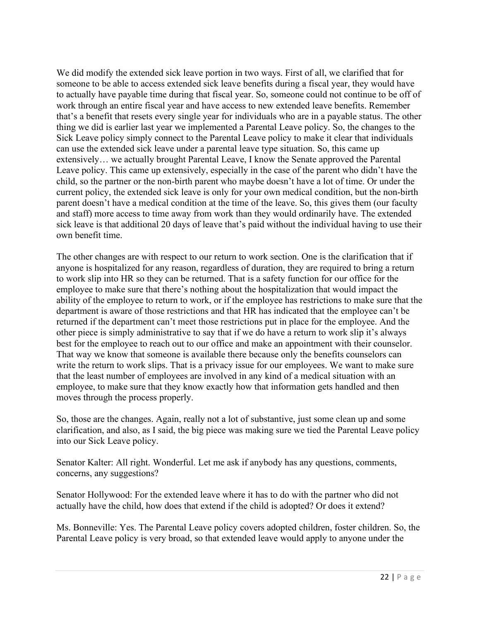We did modify the extended sick leave portion in two ways. First of all, we clarified that for someone to be able to access extended sick leave benefits during a fiscal year, they would have to actually have payable time during that fiscal year. So, someone could not continue to be off of work through an entire fiscal year and have access to new extended leave benefits. Remember that's a benefit that resets every single year for individuals who are in a payable status. The other thing we did is earlier last year we implemented a Parental Leave policy. So, the changes to the Sick Leave policy simply connect to the Parental Leave policy to make it clear that individuals can use the extended sick leave under a parental leave type situation. So, this came up extensively… we actually brought Parental Leave, I know the Senate approved the Parental Leave policy. This came up extensively, especially in the case of the parent who didn't have the child, so the partner or the non-birth parent who maybe doesn't have a lot of time. Or under the current policy, the extended sick leave is only for your own medical condition, but the non-birth parent doesn't have a medical condition at the time of the leave. So, this gives them (our faculty and staff) more access to time away from work than they would ordinarily have. The extended sick leave is that additional 20 days of leave that's paid without the individual having to use their own benefit time.

The other changes are with respect to our return to work section. One is the clarification that if anyone is hospitalized for any reason, regardless of duration, they are required to bring a return to work slip into HR so they can be returned. That is a safety function for our office for the employee to make sure that there's nothing about the hospitalization that would impact the ability of the employee to return to work, or if the employee has restrictions to make sure that the department is aware of those restrictions and that HR has indicated that the employee can't be returned if the department can't meet those restrictions put in place for the employee. And the other piece is simply administrative to say that if we do have a return to work slip it's always best for the employee to reach out to our office and make an appointment with their counselor. That way we know that someone is available there because only the benefits counselors can write the return to work slips. That is a privacy issue for our employees. We want to make sure that the least number of employees are involved in any kind of a medical situation with an employee, to make sure that they know exactly how that information gets handled and then moves through the process properly.

So, those are the changes. Again, really not a lot of substantive, just some clean up and some clarification, and also, as I said, the big piece was making sure we tied the Parental Leave policy into our Sick Leave policy.

Senator Kalter: All right. Wonderful. Let me ask if anybody has any questions, comments, concerns, any suggestions?

Senator Hollywood: For the extended leave where it has to do with the partner who did not actually have the child, how does that extend if the child is adopted? Or does it extend?

Ms. Bonneville: Yes. The Parental Leave policy covers adopted children, foster children. So, the Parental Leave policy is very broad, so that extended leave would apply to anyone under the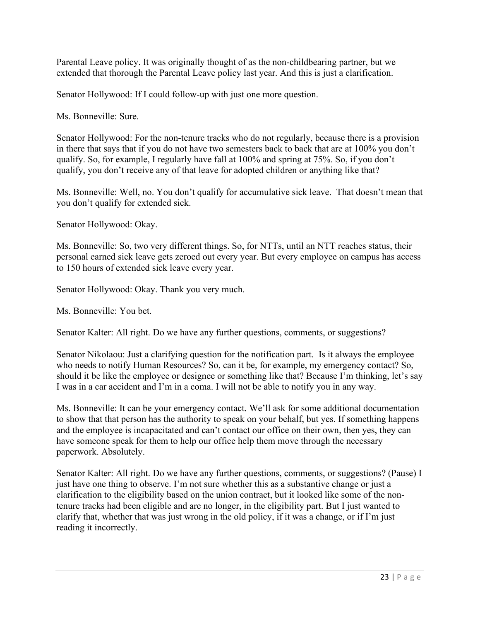Parental Leave policy. It was originally thought of as the non-childbearing partner, but we extended that thorough the Parental Leave policy last year. And this is just a clarification.

Senator Hollywood: If I could follow-up with just one more question.

Ms. Bonneville: Sure.

Senator Hollywood: For the non-tenure tracks who do not regularly, because there is a provision in there that says that if you do not have two semesters back to back that are at 100% you don't qualify. So, for example, I regularly have fall at 100% and spring at 75%. So, if you don't qualify, you don't receive any of that leave for adopted children or anything like that?

Ms. Bonneville: Well, no. You don't qualify for accumulative sick leave. That doesn't mean that you don't qualify for extended sick.

Senator Hollywood: Okay.

Ms. Bonneville: So, two very different things. So, for NTTs, until an NTT reaches status, their personal earned sick leave gets zeroed out every year. But every employee on campus has access to 150 hours of extended sick leave every year.

Senator Hollywood: Okay. Thank you very much.

Ms. Bonneville: You bet.

Senator Kalter: All right. Do we have any further questions, comments, or suggestions?

Senator Nikolaou: Just a clarifying question for the notification part. Is it always the employee who needs to notify Human Resources? So, can it be, for example, my emergency contact? So, should it be like the employee or designee or something like that? Because I'm thinking, let's say I was in a car accident and I'm in a coma. I will not be able to notify you in any way.

Ms. Bonneville: It can be your emergency contact. We'll ask for some additional documentation to show that that person has the authority to speak on your behalf, but yes. If something happens and the employee is incapacitated and can't contact our office on their own, then yes, they can have someone speak for them to help our office help them move through the necessary paperwork. Absolutely.

Senator Kalter: All right. Do we have any further questions, comments, or suggestions? (Pause) I just have one thing to observe. I'm not sure whether this as a substantive change or just a clarification to the eligibility based on the union contract, but it looked like some of the nontenure tracks had been eligible and are no longer, in the eligibility part. But I just wanted to clarify that, whether that was just wrong in the old policy, if it was a change, or if I'm just reading it incorrectly.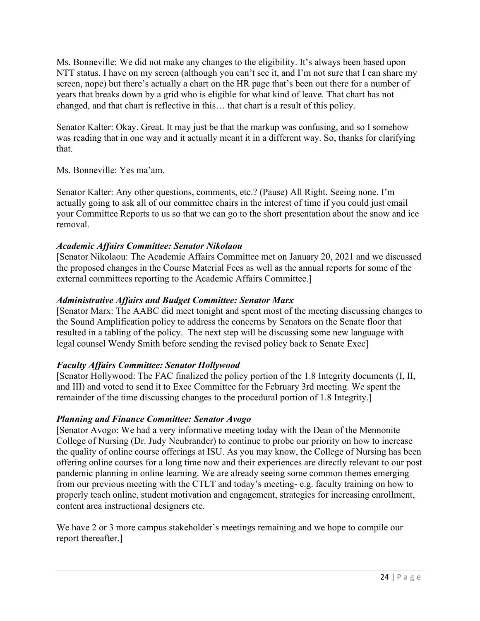Ms. Bonneville: We did not make any changes to the eligibility. It's always been based upon NTT status. I have on my screen (although you can't see it, and I'm not sure that I can share my screen, nope) but there's actually a chart on the HR page that's been out there for a number of years that breaks down by a grid who is eligible for what kind of leave. That chart has not changed, and that chart is reflective in this… that chart is a result of this policy.

Senator Kalter: Okay. Great. It may just be that the markup was confusing, and so I somehow was reading that in one way and it actually meant it in a different way. So, thanks for clarifying that.

Ms. Bonneville: Yes ma'am.

Senator Kalter: Any other questions, comments, etc.? (Pause) All Right. Seeing none. I'm actually going to ask all of our committee chairs in the interest of time if you could just email your Committee Reports to us so that we can go to the short presentation about the snow and ice removal.

## *Academic Affairs Committee: Senator Nikolaou*

[Senator Nikolaou: The Academic Affairs Committee met on January 20, 2021 and we discussed the proposed changes in the Course Material Fees as well as the annual reports for some of the external committees reporting to the Academic Affairs Committee.]

## *Administrative Affairs and Budget Committee: Senator Marx*

[Senator Marx: The AABC did meet tonight and spent most of the meeting discussing changes to the Sound Amplification policy to address the concerns by Senators on the Senate floor that resulted in a tabling of the policy. The next step will be discussing some new language with legal counsel Wendy Smith before sending the revised policy back to Senate Exec]

## *Faculty Affairs Committee: Senator Hollywood*

[Senator Hollywood: The FAC finalized the policy portion of the 1.8 Integrity documents (I, II, and III) and voted to send it to Exec Committee for the February 3rd meeting. We spent the remainder of the time discussing changes to the procedural portion of 1.8 Integrity.]

## *Planning and Finance Committee: Senator Avogo*

[Senator Avogo: We had a very informative meeting today with the Dean of the Mennonite College of Nursing (Dr. Judy Neubrander) to continue to probe our priority on how to increase the quality of online course offerings at ISU. As you may know, the College of Nursing has been offering online courses for a long time now and their experiences are directly relevant to our post pandemic planning in online learning. We are already seeing some common themes emerging from our previous meeting with the CTLT and today's meeting- e.g. faculty training on how to properly teach online, student motivation and engagement, strategies for increasing enrollment, content area instructional designers etc.

We have 2 or 3 more campus stakeholder's meetings remaining and we hope to compile our report thereafter.]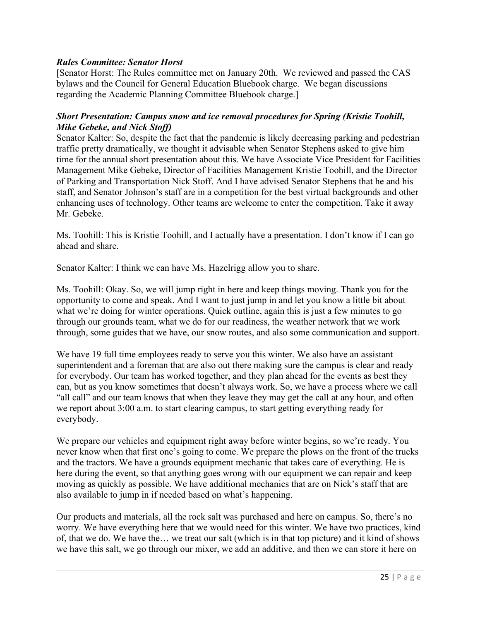## *Rules Committee: Senator Horst*

[Senator Horst: The Rules committee met on January 20th. We reviewed and passed the CAS bylaws and the Council for General Education Bluebook charge. We began discussions regarding the Academic Planning Committee Bluebook charge.]

## *Short Presentation: Campus snow and ice removal procedures for Spring (Kristie Toohill, Mike Gebeke, and Nick Stoff)*

Senator Kalter: So, despite the fact that the pandemic is likely decreasing parking and pedestrian traffic pretty dramatically, we thought it advisable when Senator Stephens asked to give him time for the annual short presentation about this. We have Associate Vice President for Facilities Management Mike Gebeke, Director of Facilities Management Kristie Toohill, and the Director of Parking and Transportation Nick Stoff. And I have advised Senator Stephens that he and his staff, and Senator Johnson's staff are in a competition for the best virtual backgrounds and other enhancing uses of technology. Other teams are welcome to enter the competition. Take it away Mr. Gebeke.

Ms. Toohill: This is Kristie Toohill, and I actually have a presentation. I don't know if I can go ahead and share.

Senator Kalter: I think we can have Ms. Hazelrigg allow you to share.

Ms. Toohill: Okay. So, we will jump right in here and keep things moving. Thank you for the opportunity to come and speak. And I want to just jump in and let you know a little bit about what we're doing for winter operations. Quick outline, again this is just a few minutes to go through our grounds team, what we do for our readiness, the weather network that we work through, some guides that we have, our snow routes, and also some communication and support.

We have 19 full time employees ready to serve you this winter. We also have an assistant superintendent and a foreman that are also out there making sure the campus is clear and ready for everybody. Our team has worked together, and they plan ahead for the events as best they can, but as you know sometimes that doesn't always work. So, we have a process where we call "all call" and our team knows that when they leave they may get the call at any hour, and often we report about 3:00 a.m. to start clearing campus, to start getting everything ready for everybody.

We prepare our vehicles and equipment right away before winter begins, so we're ready. You never know when that first one's going to come. We prepare the plows on the front of the trucks and the tractors. We have a grounds equipment mechanic that takes care of everything. He is here during the event, so that anything goes wrong with our equipment we can repair and keep moving as quickly as possible. We have additional mechanics that are on Nick's staff that are also available to jump in if needed based on what's happening.

Our products and materials, all the rock salt was purchased and here on campus. So, there's no worry. We have everything here that we would need for this winter. We have two practices, kind of, that we do. We have the… we treat our salt (which is in that top picture) and it kind of shows we have this salt, we go through our mixer, we add an additive, and then we can store it here on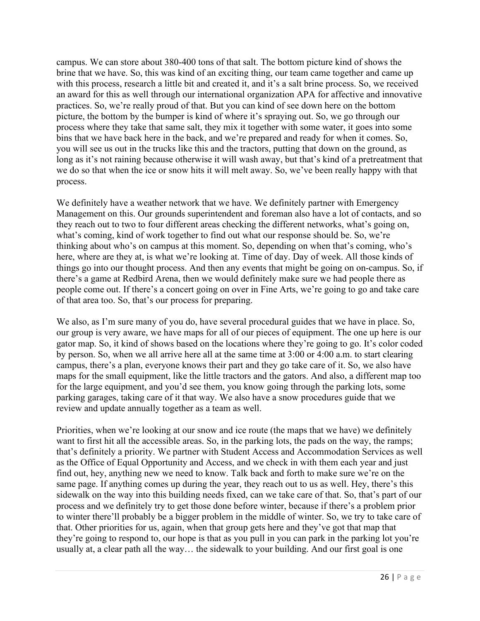campus. We can store about 380-400 tons of that salt. The bottom picture kind of shows the brine that we have. So, this was kind of an exciting thing, our team came together and came up with this process, research a little bit and created it, and it's a salt brine process. So, we received an award for this as well through our international organization APA for affective and innovative practices. So, we're really proud of that. But you can kind of see down here on the bottom picture, the bottom by the bumper is kind of where it's spraying out. So, we go through our process where they take that same salt, they mix it together with some water, it goes into some bins that we have back here in the back, and we're prepared and ready for when it comes. So, you will see us out in the trucks like this and the tractors, putting that down on the ground, as long as it's not raining because otherwise it will wash away, but that's kind of a pretreatment that we do so that when the ice or snow hits it will melt away. So, we've been really happy with that process.

We definitely have a weather network that we have. We definitely partner with Emergency Management on this. Our grounds superintendent and foreman also have a lot of contacts, and so they reach out to two to four different areas checking the different networks, what's going on, what's coming, kind of work together to find out what our response should be. So, we're thinking about who's on campus at this moment. So, depending on when that's coming, who's here, where are they at, is what we're looking at. Time of day. Day of week. All those kinds of things go into our thought process. And then any events that might be going on on-campus. So, if there's a game at Redbird Arena, then we would definitely make sure we had people there as people come out. If there's a concert going on over in Fine Arts, we're going to go and take care of that area too. So, that's our process for preparing.

We also, as I'm sure many of you do, have several procedural guides that we have in place. So, our group is very aware, we have maps for all of our pieces of equipment. The one up here is our gator map. So, it kind of shows based on the locations where they're going to go. It's color coded by person. So, when we all arrive here all at the same time at 3:00 or 4:00 a.m. to start clearing campus, there's a plan, everyone knows their part and they go take care of it. So, we also have maps for the small equipment, like the little tractors and the gators. And also, a different map too for the large equipment, and you'd see them, you know going through the parking lots, some parking garages, taking care of it that way. We also have a snow procedures guide that we review and update annually together as a team as well.

Priorities, when we're looking at our snow and ice route (the maps that we have) we definitely want to first hit all the accessible areas. So, in the parking lots, the pads on the way, the ramps; that's definitely a priority. We partner with Student Access and Accommodation Services as well as the Office of Equal Opportunity and Access, and we check in with them each year and just find out, hey, anything new we need to know. Talk back and forth to make sure we're on the same page. If anything comes up during the year, they reach out to us as well. Hey, there's this sidewalk on the way into this building needs fixed, can we take care of that. So, that's part of our process and we definitely try to get those done before winter, because if there's a problem prior to winter there'll probably be a bigger problem in the middle of winter. So, we try to take care of that. Other priorities for us, again, when that group gets here and they've got that map that they're going to respond to, our hope is that as you pull in you can park in the parking lot you're usually at, a clear path all the way… the sidewalk to your building. And our first goal is one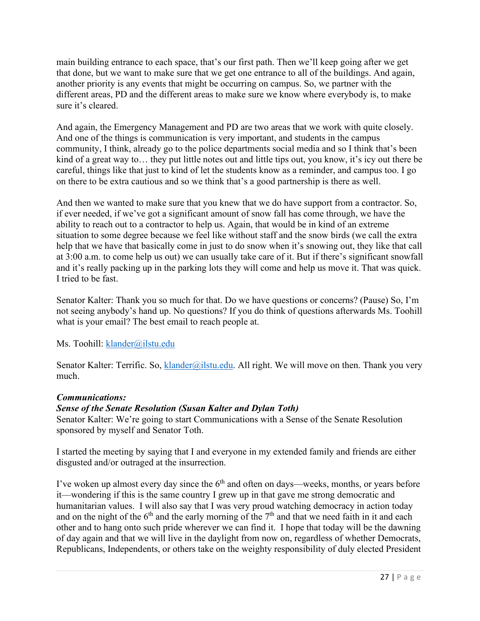main building entrance to each space, that's our first path. Then we'll keep going after we get that done, but we want to make sure that we get one entrance to all of the buildings. And again, another priority is any events that might be occurring on campus. So, we partner with the different areas, PD and the different areas to make sure we know where everybody is, to make sure it's cleared.

And again, the Emergency Management and PD are two areas that we work with quite closely. And one of the things is communication is very important, and students in the campus community, I think, already go to the police departments social media and so I think that's been kind of a great way to… they put little notes out and little tips out, you know, it's icy out there be careful, things like that just to kind of let the students know as a reminder, and campus too. I go on there to be extra cautious and so we think that's a good partnership is there as well.

And then we wanted to make sure that you knew that we do have support from a contractor. So, if ever needed, if we've got a significant amount of snow fall has come through, we have the ability to reach out to a contractor to help us. Again, that would be in kind of an extreme situation to some degree because we feel like without staff and the snow birds (we call the extra help that we have that basically come in just to do snow when it's snowing out, they like that call at 3:00 a.m. to come help us out) we can usually take care of it. But if there's significant snowfall and it's really packing up in the parking lots they will come and help us move it. That was quick. I tried to be fast.

Senator Kalter: Thank you so much for that. Do we have questions or concerns? (Pause) So, I'm not seeing anybody's hand up. No questions? If you do think of questions afterwards Ms. Toohill what is your email? The best email to reach people at.

## Ms. Toohill: [klander@ilstu.edu](about:blank)

Senator Kalter: Terrific. So,  $\frac{klander(\hat{q}_j)1stu.edu.$  All right. We will move on then. Thank you very much.

## *Communications:*

## *Sense of the Senate Resolution (Susan Kalter and Dylan Toth)*

Senator Kalter: We're going to start Communications with a Sense of the Senate Resolution sponsored by myself and Senator Toth.

I started the meeting by saying that I and everyone in my extended family and friends are either disgusted and/or outraged at the insurrection.

I've woken up almost every day since the  $6<sup>th</sup>$  and often on days—weeks, months, or years before it—wondering if this is the same country I grew up in that gave me strong democratic and humanitarian values. I will also say that I was very proud watching democracy in action today and on the night of the  $6<sup>th</sup>$  and the early morning of the  $7<sup>th</sup>$  and that we need faith in it and each other and to hang onto such pride wherever we can find it. I hope that today will be the dawning of day again and that we will live in the daylight from now on, regardless of whether Democrats, Republicans, Independents, or others take on the weighty responsibility of duly elected President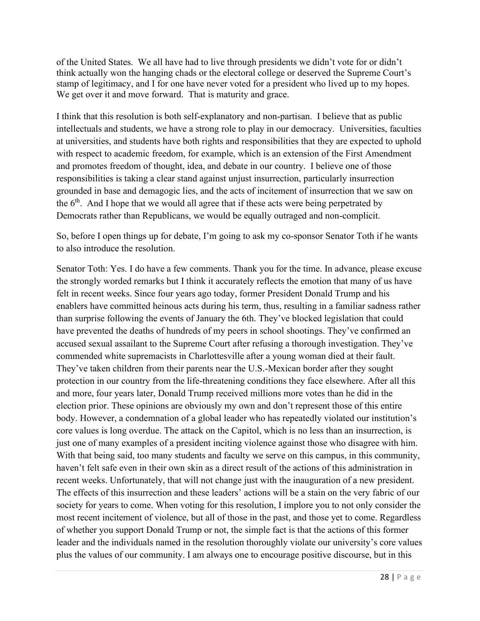of the United States. We all have had to live through presidents we didn't vote for or didn't think actually won the hanging chads or the electoral college or deserved the Supreme Court's stamp of legitimacy, and I for one have never voted for a president who lived up to my hopes. We get over it and move forward. That is maturity and grace.

I think that this resolution is both self-explanatory and non-partisan. I believe that as public intellectuals and students, we have a strong role to play in our democracy. Universities, faculties at universities, and students have both rights and responsibilities that they are expected to uphold with respect to academic freedom, for example, which is an extension of the First Amendment and promotes freedom of thought, idea, and debate in our country. I believe one of those responsibilities is taking a clear stand against unjust insurrection, particularly insurrection grounded in base and demagogic lies, and the acts of incitement of insurrection that we saw on the  $6<sup>th</sup>$ . And I hope that we would all agree that if these acts were being perpetrated by Democrats rather than Republicans, we would be equally outraged and non-complicit.

So, before I open things up for debate, I'm going to ask my co-sponsor Senator Toth if he wants to also introduce the resolution.

Senator Toth: Yes. I do have a few comments. Thank you for the time. In advance, please excuse the strongly worded remarks but I think it accurately reflects the emotion that many of us have felt in recent weeks. Since four years ago today, former President Donald Trump and his enablers have committed heinous acts during his term, thus, resulting in a familiar sadness rather than surprise following the events of January the 6th. They've blocked legislation that could have prevented the deaths of hundreds of my peers in school shootings. They've confirmed an accused sexual assailant to the Supreme Court after refusing a thorough investigation. They've commended white supremacists in Charlottesville after a young woman died at their fault. They've taken children from their parents near the U.S.-Mexican border after they sought protection in our country from the life-threatening conditions they face elsewhere. After all this and more, four years later, Donald Trump received millions more votes than he did in the election prior. These opinions are obviously my own and don't represent those of this entire body. However, a condemnation of a global leader who has repeatedly violated our institution's core values is long overdue. The attack on the Capitol, which is no less than an insurrection, is just one of many examples of a president inciting violence against those who disagree with him. With that being said, too many students and faculty we serve on this campus, in this community, haven't felt safe even in their own skin as a direct result of the actions of this administration in recent weeks. Unfortunately, that will not change just with the inauguration of a new president. The effects of this insurrection and these leaders' actions will be a stain on the very fabric of our society for years to come. When voting for this resolution, I implore you to not only consider the most recent incitement of violence, but all of those in the past, and those yet to come. Regardless of whether you support Donald Trump or not, the simple fact is that the actions of this former leader and the individuals named in the resolution thoroughly violate our university's core values plus the values of our community. I am always one to encourage positive discourse, but in this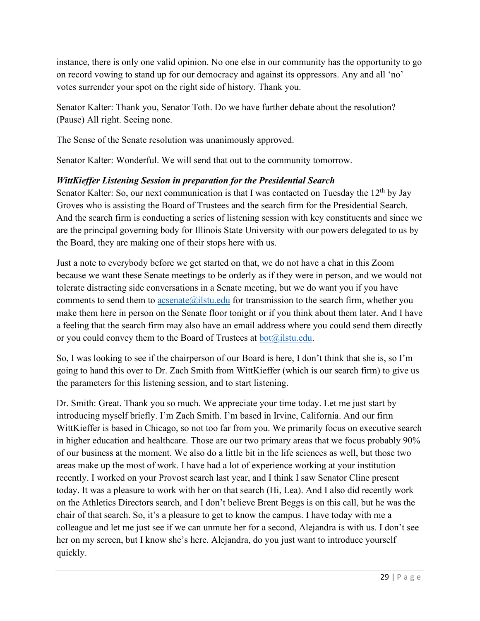instance, there is only one valid opinion. No one else in our community has the opportunity to go on record vowing to stand up for our democracy and against its oppressors. Any and all 'no' votes surrender your spot on the right side of history. Thank you.

Senator Kalter: Thank you, Senator Toth. Do we have further debate about the resolution? (Pause) All right. Seeing none.

The Sense of the Senate resolution was unanimously approved.

Senator Kalter: Wonderful. We will send that out to the community tomorrow.

## *WittKieffer Listening Session in preparation for the Presidential Search*

Senator Kalter: So, our next communication is that I was contacted on Tuesday the  $12<sup>th</sup>$  by Jay Groves who is assisting the Board of Trustees and the search firm for the Presidential Search. And the search firm is conducting a series of listening session with key constituents and since we are the principal governing body for Illinois State University with our powers delegated to us by the Board, they are making one of their stops here with us.

Just a note to everybody before we get started on that, we do not have a chat in this Zoom because we want these Senate meetings to be orderly as if they were in person, and we would not tolerate distracting side conversations in a Senate meeting, but we do want you if you have comments to send them to  $\overline{\text{acsenate}(a)}$  ilstu.edu for transmission to the search firm, whether you make them here in person on the Senate floor tonight or if you think about them later. And I have a feeling that the search firm may also have an email address where you could send them directly or you could convey them to the Board of Trustees at  $bot@i1stu.edu$ .

So, I was looking to see if the chairperson of our Board is here, I don't think that she is, so I'm going to hand this over to Dr. Zach Smith from WittKieffer (which is our search firm) to give us the parameters for this listening session, and to start listening.

Dr. Smith: Great. Thank you so much. We appreciate your time today. Let me just start by introducing myself briefly. I'm Zach Smith. I'm based in Irvine, California. And our firm WittKieffer is based in Chicago, so not too far from you. We primarily focus on executive search in higher education and healthcare. Those are our two primary areas that we focus probably 90% of our business at the moment. We also do a little bit in the life sciences as well, but those two areas make up the most of work. I have had a lot of experience working at your institution recently. I worked on your Provost search last year, and I think I saw Senator Cline present today. It was a pleasure to work with her on that search (Hi, Lea). And I also did recently work on the Athletics Directors search, and I don't believe Brent Beggs is on this call, but he was the chair of that search. So, it's a pleasure to get to know the campus. I have today with me a colleague and let me just see if we can unmute her for a second, Alejandra is with us. I don't see her on my screen, but I know she's here. Alejandra, do you just want to introduce yourself quickly.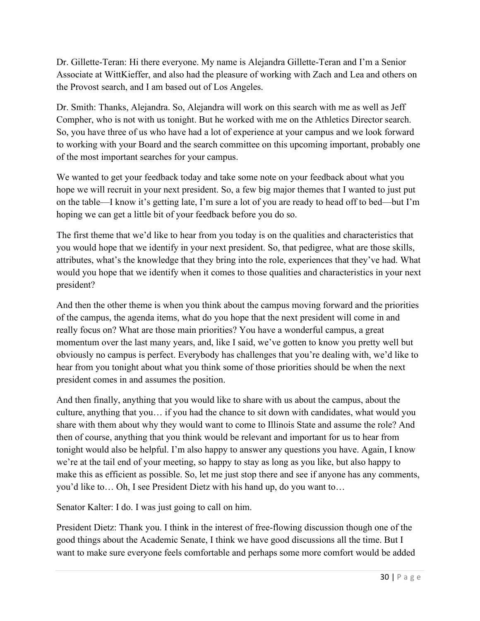Dr. Gillette-Teran: Hi there everyone. My name is Alejandra Gillette-Teran and I'm a Senior Associate at WittKieffer, and also had the pleasure of working with Zach and Lea and others on the Provost search, and I am based out of Los Angeles.

Dr. Smith: Thanks, Alejandra. So, Alejandra will work on this search with me as well as Jeff Compher, who is not with us tonight. But he worked with me on the Athletics Director search. So, you have three of us who have had a lot of experience at your campus and we look forward to working with your Board and the search committee on this upcoming important, probably one of the most important searches for your campus.

We wanted to get your feedback today and take some note on your feedback about what you hope we will recruit in your next president. So, a few big major themes that I wanted to just put on the table—I know it's getting late, I'm sure a lot of you are ready to head off to bed—but I'm hoping we can get a little bit of your feedback before you do so.

The first theme that we'd like to hear from you today is on the qualities and characteristics that you would hope that we identify in your next president. So, that pedigree, what are those skills, attributes, what's the knowledge that they bring into the role, experiences that they've had. What would you hope that we identify when it comes to those qualities and characteristics in your next president?

And then the other theme is when you think about the campus moving forward and the priorities of the campus, the agenda items, what do you hope that the next president will come in and really focus on? What are those main priorities? You have a wonderful campus, a great momentum over the last many years, and, like I said, we've gotten to know you pretty well but obviously no campus is perfect. Everybody has challenges that you're dealing with, we'd like to hear from you tonight about what you think some of those priorities should be when the next president comes in and assumes the position.

And then finally, anything that you would like to share with us about the campus, about the culture, anything that you… if you had the chance to sit down with candidates, what would you share with them about why they would want to come to Illinois State and assume the role? And then of course, anything that you think would be relevant and important for us to hear from tonight would also be helpful. I'm also happy to answer any questions you have. Again, I know we're at the tail end of your meeting, so happy to stay as long as you like, but also happy to make this as efficient as possible. So, let me just stop there and see if anyone has any comments, you'd like to… Oh, I see President Dietz with his hand up, do you want to…

Senator Kalter: I do. I was just going to call on him.

President Dietz: Thank you. I think in the interest of free-flowing discussion though one of the good things about the Academic Senate, I think we have good discussions all the time. But I want to make sure everyone feels comfortable and perhaps some more comfort would be added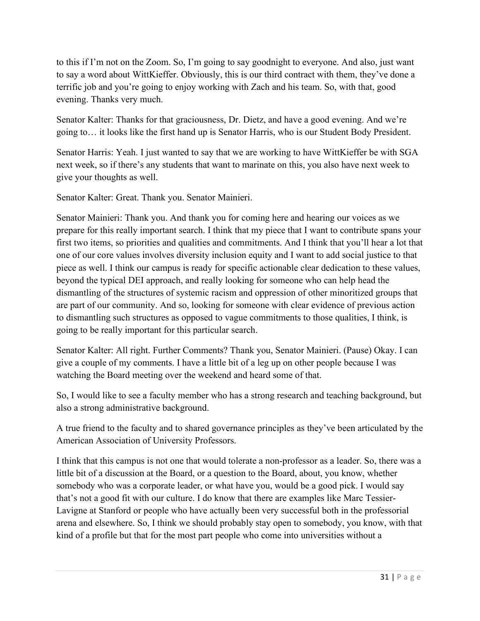to this if I'm not on the Zoom. So, I'm going to say goodnight to everyone. And also, just want to say a word about WittKieffer. Obviously, this is our third contract with them, they've done a terrific job and you're going to enjoy working with Zach and his team. So, with that, good evening. Thanks very much.

Senator Kalter: Thanks for that graciousness, Dr. Dietz, and have a good evening. And we're going to… it looks like the first hand up is Senator Harris, who is our Student Body President.

Senator Harris: Yeah. I just wanted to say that we are working to have WittKieffer be with SGA next week, so if there's any students that want to marinate on this, you also have next week to give your thoughts as well.

Senator Kalter: Great. Thank you. Senator Mainieri.

Senator Mainieri: Thank you. And thank you for coming here and hearing our voices as we prepare for this really important search. I think that my piece that I want to contribute spans your first two items, so priorities and qualities and commitments. And I think that you'll hear a lot that one of our core values involves diversity inclusion equity and I want to add social justice to that piece as well. I think our campus is ready for specific actionable clear dedication to these values, beyond the typical DEI approach, and really looking for someone who can help head the dismantling of the structures of systemic racism and oppression of other minoritized groups that are part of our community. And so, looking for someone with clear evidence of previous action to dismantling such structures as opposed to vague commitments to those qualities, I think, is going to be really important for this particular search.

Senator Kalter: All right. Further Comments? Thank you, Senator Mainieri. (Pause) Okay. I can give a couple of my comments. I have a little bit of a leg up on other people because I was watching the Board meeting over the weekend and heard some of that.

So, I would like to see a faculty member who has a strong research and teaching background, but also a strong administrative background.

A true friend to the faculty and to shared governance principles as they've been articulated by the American Association of University Professors.

I think that this campus is not one that would tolerate a non-professor as a leader. So, there was a little bit of a discussion at the Board, or a question to the Board, about, you know, whether somebody who was a corporate leader, or what have you, would be a good pick. I would say that's not a good fit with our culture. I do know that there are examples like Marc Tessier-Lavigne at Stanford or people who have actually been very successful both in the professorial arena and elsewhere. So, I think we should probably stay open to somebody, you know, with that kind of a profile but that for the most part people who come into universities without a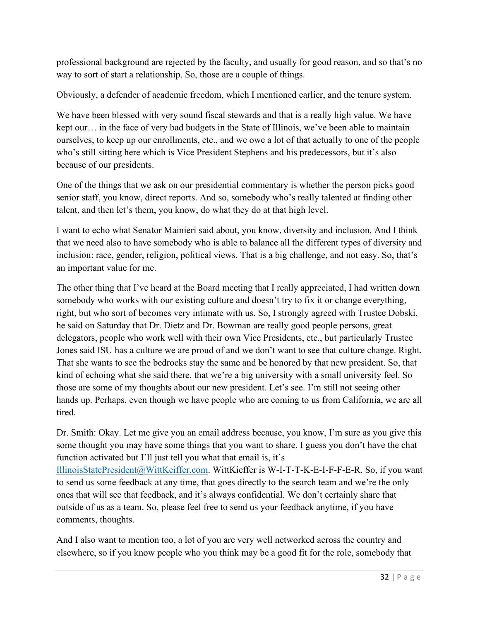professional background are rejected by the faculty, and usually for good reason, and so that's no way to sort of start a relationship. So, those are a couple of things.

Obviously, a defender of academic freedom, which I mentioned earlier, and the tenure system.

We have been blessed with very sound fiscal stewards and that is a really high value. We have kept our… in the face of very bad budgets in the State of Illinois, we've been able to maintain ourselves, to keep up our enrollments, etc., and we owe a lot of that actually to one of the people who's still sitting here which is Vice President Stephens and his predecessors, but it's also because of our presidents.

One of the things that we ask on our presidential commentary is whether the person picks good senior staff, you know, direct reports. And so, somebody who's really talented at finding other talent, and then let's them, you know, do what they do at that high level.

I want to echo what Senator Mainieri said about, you know, diversity and inclusion. And I think that we need also to have somebody who is able to balance all the different types of diversity and inclusion: race, gender, religion, political views. That is a big challenge, and not easy. So, that's an important value for me.

The other thing that I've heard at the Board meeting that I really appreciated, I had written down somebody who works with our existing culture and doesn't try to fix it or change everything, right, but who sort of becomes very intimate with us. So, I strongly agreed with Trustee Dobski, he said on Saturday that Dr. Dietz and Dr. Bowman are really good people persons, great delegators, people who work well with their own Vice Presidents, etc., but particularly Trustee Jones said ISU has a culture we are proud of and we don't want to see that culture change. Right. That she wants to see the bedrocks stay the same and be honored by that new president. So, that kind of echoing what she said there, that we're a big university with a small university feel. So those are some of my thoughts about our new president. Let's see. I'm still not seeing other hands up. Perhaps, even though we have people who are coming to us from California, we are all tired.

Dr. Smith: Okay. Let me give you an email address because, you know, I'm sure as you give this some thought you may have some things that you want to share. I guess you don't have the chat function activated but I'll just tell you what that email is, it's [IllinoisStatePresident@WittKeiffer.com.](about:blank) WittKieffer is W-I-T-T-K-E-I-F-F-E-R. So, if you want to send us some feedback at any time, that goes directly to the search team and we're the only ones that will see that feedback, and it's always confidential. We don't certainly share that outside of us as a team. So, please feel free to send us your feedback anytime, if you have comments, thoughts.

And I also want to mention too, a lot of you are very well networked across the country and elsewhere, so if you know people who you think may be a good fit for the role, somebody that